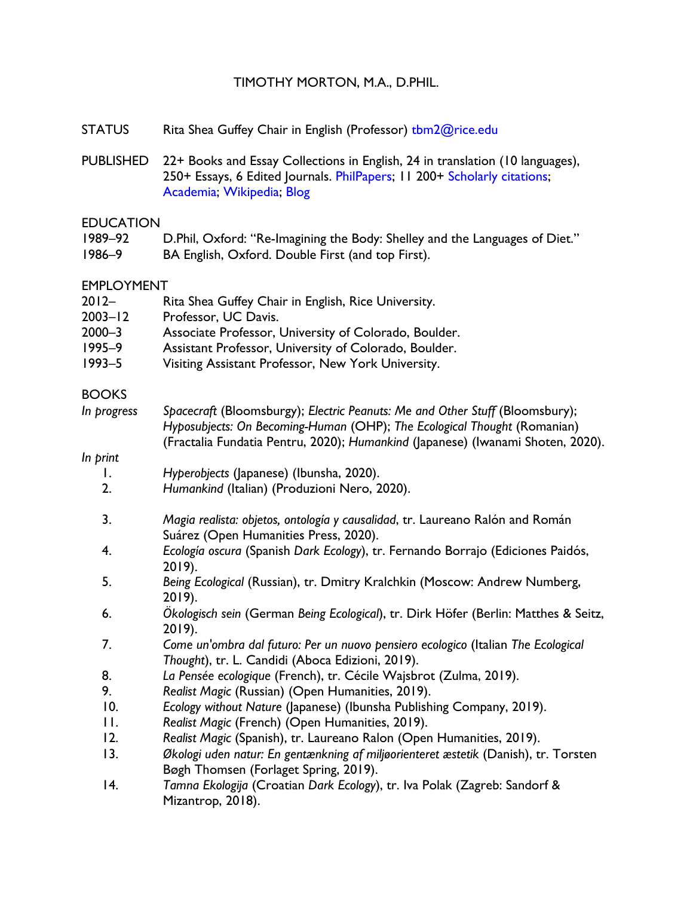#### TIMOTHY MORTON, M.A., D.PHIL.

- STATUS Rita Shea Guffey Chair in English (Professor) tbm2@rice.edu
- PUBLISHED 22+ Books and Essay Collections in English, 24 in translation (10 languages), 250+ Essays, 6 Edited Journals. PhilPapers; 11 200+ Scholarly citations; Academia; Wikipedia; Blog

#### EDUCATION

- 1989–92 D.Phil, Oxford: "Re-Imagining the Body: Shelley and the Languages of Diet."
- 1986–9 BA English, Oxford. Double First (and top First).

#### EMPLOYMENT

| $2012 -$ | Rita Shea Guffey Chair in English, Rice University. |
|----------|-----------------------------------------------------|
|----------|-----------------------------------------------------|

- 2003–12 Professor, UC Davis.
- 2000–3 Associate Professor, University of Colorado, Boulder.
- 1995–9 Assistant Professor, University of Colorado, Boulder.
- 1993–5 Visiting Assistant Professor, New York University.

#### BOOKS

*In progress Spacecraft* (Bloomsburgy); *Electric Peanuts: Me and Other Stuff* (Bloomsbury); *Hyposubjects: On Becoming-Human* (OHP); *The Ecological Thought* (Romanian) (Fractalia Fundatia Pentru, 2020); *Humankind* (Japanese) (Iwanami Shoten, 2020).

#### *In print*

- 1. *Hyperobjects* (Japanese) (Ibunsha, 2020).
- 2. *Humankind* (Italian) (Produzioni Nero, 2020).
- 3. *Magia realista: objetos, ontología y causalidad*, tr. Laureano Ralón and Román Suárez (Open Humanities Press, 2020).
- 4. *Ecología oscura* (Spanish *Dark Ecology*), tr. Fernando Borrajo (Ediciones Paidós, 2019).
- 5. *Being Ecological* (Russian), tr. Dmitry Kralchkin (Moscow: Andrew Numberg, 2019).
- 6. *Ökologisch sein* (German *Being Ecological*), tr. Dirk Höfer (Berlin: Matthes & Seitz, 2019).
- 7. *Come un'ombra dal futuro: Per un nuovo pensiero ecologico* (Italian *The Ecological Thought*), tr. L. Candidi (Aboca Edizioni, 2019).
- 8. *La Pensée ecologique* (French), tr. Cécile Wajsbrot (Zulma, 2019).
- 9. *Realist Magic* (Russian) (Open Humanities, 2019).
- 10. *Ecology without Nature* (Japanese) (Ibunsha Publishing Company, 2019).
- 11. *Realist Magic* (French) (Open Humanities, 2019).
- 12. *Realist Magic* (Spanish), tr. Laureano Ralon (Open Humanities, 2019).
- 13. *Økologi uden natur: En gentænkning af miljøorienteret æstetik* (Danish), tr. Torsten Bøgh Thomsen (Forlaget Spring, 2019).
- 14. *Tamna Ekologija* (Croatian *Dark Ecology*), tr. Iva Polak (Zagreb: Sandorf & Mizantrop, 2018).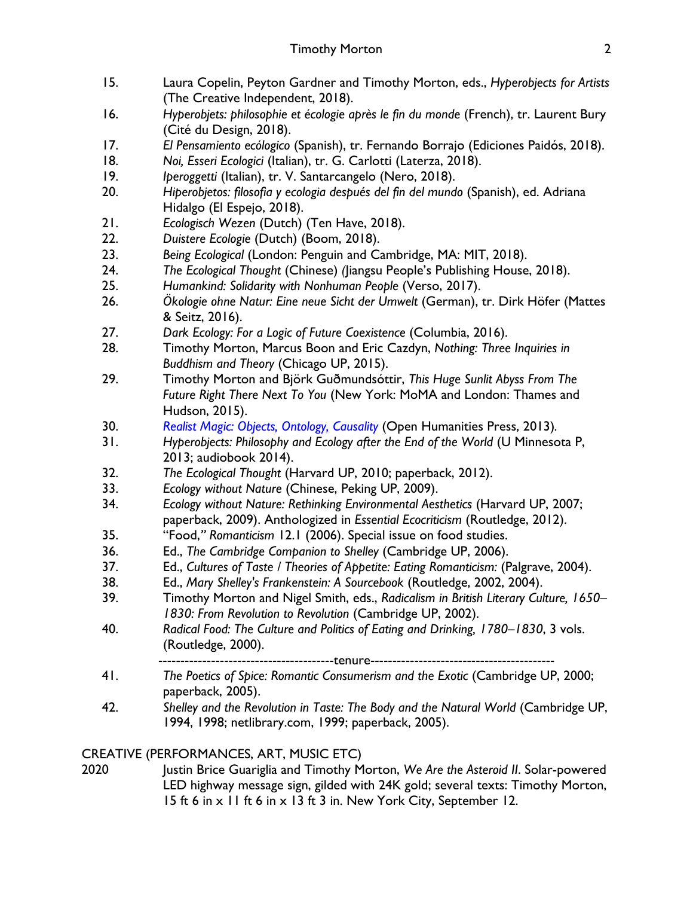- 15. Laura Copelin, Peyton Gardner and Timothy Morton, eds., *Hyperobjects for Artists*  (The Creative Independent, 2018).
- 16. *Hyperobjets: philosophie et écologie après le fin du monde* (French), tr. Laurent Bury (Cité du Design, 2018).
- 17. *El Pensamiento ecólogico* (Spanish), tr. Fernando Borrajo (Ediciones Paidós, 2018).
- 18. *Noi, Esseri Ecologici* (Italian), tr. G. Carlotti (Laterza, 2018).
- 19. *Iperoggetti* (Italian), tr. V. Santarcangelo (Nero, 2018).
- 20. *Hiperobjetos: filosofia y ecologia después del fin del mundo* (Spanish), ed. Adriana Hidalgo (El Espejo, 2018).
- 21. *Ecologisch Wezen* (Dutch) (Ten Have, 2018).
- 22. *Duistere Ecologie* (Dutch) (Boom, 2018).
- 23. *Being Ecological* (London: Penguin and Cambridge, MA: MIT, 2018).
- 24. *The Ecological Thought* (Chinese) *(*Jiangsu People's Publishing House, 2018).
- 25. *Humankind: Solidarity with Nonhuman People* (Verso, 2017).
- 26. *Ökologie ohne Natur: Eine neue Sicht der Umwelt* (German), tr. Dirk Höfer (Mattes & Seitz, 2016).
- 27. *Dark Ecology: For a Logic of Future Coexistence* (Columbia, 2016).
- 28. Timothy Morton, Marcus Boon and Eric Cazdyn, *Nothing: Three Inquiries in Buddhism and Theory* (Chicago UP, 2015).
- 29. Timothy Morton and Björk Guðmundsóttir, *This Huge Sunlit Abyss From The Future Right There Next To You* (New York: MoMA and London: Thames and Hudson, 2015).
- 30. *Realist Magic: Objects, Ontology, Causality* (Open Humanities Press, 2013)*.*
- 31. *Hyperobjects: Philosophy and Ecology after the End of the World* (U Minnesota P, 2013; audiobook 2014).
- 32. *The Ecological Thought* (Harvard UP, 2010; paperback, 2012).
- 33. *Ecology without Nature* (Chinese, Peking UP, 2009).
- 34. *Ecology without Nature: Rethinking Environmental Aesthetics* (Harvard UP, 2007; paperback, 2009). Anthologized in *Essential Ecocriticism* (Routledge, 2012).
- 35. "Food,*" Romanticism* 12.1 (2006). Special issue on food studies.
- 36. Ed., *The Cambridge Companion to Shelley* (Cambridge UP, 2006).
- 37. Ed., *Cultures of Taste / Theories of Appetite: Eating Romanticism:* (Palgrave, 2004).
- 38. Ed., *Mary Shelley's Frankenstein: A Sourcebook* (Routledge, 2002, 2004).
- 39. Timothy Morton and Nigel Smith, eds., *Radicalism in British Literary Culture, 1650– 1830: From Revolution to Revolution* (Cambridge UP, 2002).
- 40. *Radical Food: The Culture and Politics of Eating and Drinking, 1780–1830*, 3 vols. (Routledge, 2000).

---tenure--------

- 41. *The Poetics of Spice: Romantic Consumerism and the Exotic* (Cambridge UP, 2000; paperback, 2005).
- 42. *Shelley and the Revolution in Taste: The Body and the Natural World* (Cambridge UP, 1994, 1998; netlibrary.com, 1999; paperback, 2005).

# CREATIVE (PERFORMANCES, ART, MUSIC ETC)

2020 Justin Brice Guariglia and Timothy Morton, *We Are the Asteroid II*. Solar-powered LED highway message sign, gilded with 24K gold; several texts: Timothy Morton, 15 ft 6 in x 11 ft 6 in x 13 ft 3 in. New York City, September 12.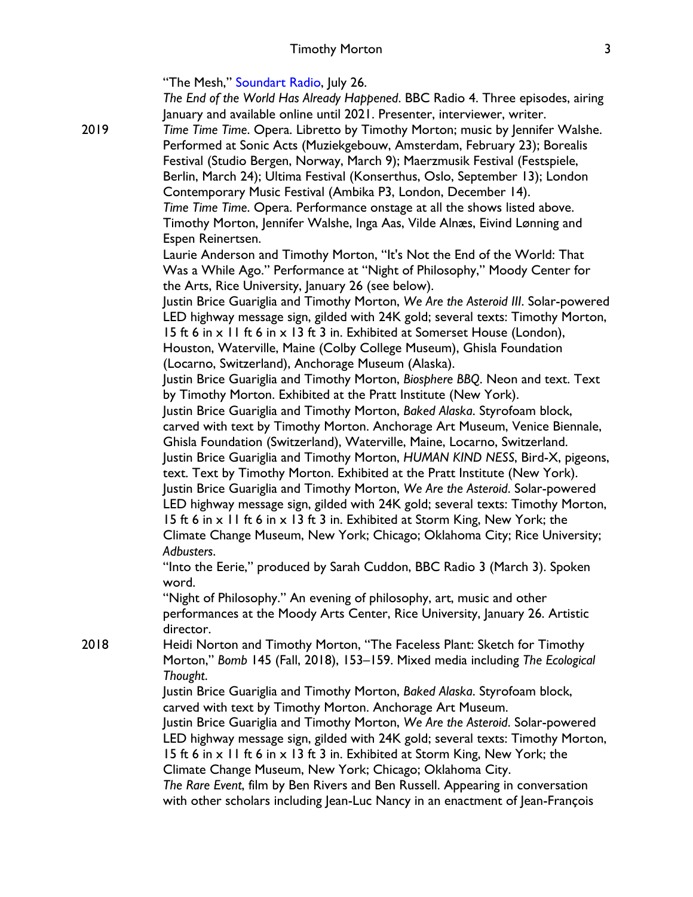"The Mesh," Soundart Radio, July 26. *The End of the World Has Already Happened*. BBC Radio 4. Three episodes, airing January and available online until 2021. Presenter, interviewer, writer. 2019 *Time Time Time*. Opera. Libretto by Timothy Morton; music by Jennifer Walshe. Performed at Sonic Acts (Muziekgebouw, Amsterdam, February 23); Borealis Festival (Studio Bergen, Norway, March 9); Maerzmusik Festival (Festspiele, Berlin, March 24); Ultima Festival (Konserthus, Oslo, September 13); London Contemporary Music Festival (Ambika P3, London, December 14). *Time Time Time*. Opera. Performance onstage at all the shows listed above. Timothy Morton, Jennifer Walshe, Inga Aas, Vilde Alnæs, Eivind Lønning and Espen Reinertsen. Laurie Anderson and Timothy Morton, "It's Not the End of the World: That Was a While Ago." Performance at "Night of Philosophy," Moody Center for the Arts, Rice University, January 26 (see below). Justin Brice Guariglia and Timothy Morton, *We Are the Asteroid III*. Solar-powered LED highway message sign, gilded with 24K gold; several texts: Timothy Morton, 15 ft 6 in x 11 ft 6 in x 13 ft 3 in. Exhibited at Somerset House (London), Houston, Waterville, Maine (Colby College Museum), Ghisla Foundation (Locarno, Switzerland), Anchorage Museum (Alaska). Justin Brice Guariglia and Timothy Morton, *Biosphere BBQ*. Neon and text. Text by Timothy Morton. Exhibited at the Pratt Institute (New York). Justin Brice Guariglia and Timothy Morton, *Baked Alaska*. Styrofoam block, carved with text by Timothy Morton. Anchorage Art Museum, Venice Biennale, Ghisla Foundation (Switzerland), Waterville, Maine, Locarno, Switzerland. Justin Brice Guariglia and Timothy Morton, *HUMAN KIND NESS*, Bird-X, pigeons, text. Text by Timothy Morton. Exhibited at the Pratt Institute (New York). Justin Brice Guariglia and Timothy Morton, *We Are the Asteroid*. Solar-powered LED highway message sign, gilded with 24K gold; several texts: Timothy Morton, 15 ft 6 in  $\times$  11 ft 6 in  $\times$  13 ft 3 in. Exhibited at Storm King, New York; the Climate Change Museum, New York; Chicago; Oklahoma City; Rice University; *Adbusters*. "Into the Eerie," produced by Sarah Cuddon, BBC Radio 3 (March 3). Spoken word. "Night of Philosophy." An evening of philosophy, art, music and other performances at the Moody Arts Center, Rice University, January 26. Artistic director. 2018 Heidi Norton and Timothy Morton, "The Faceless Plant: Sketch for Timothy Morton," *Bomb* 145 (Fall, 2018), 153–159. Mixed media including *The Ecological Thought*. Justin Brice Guariglia and Timothy Morton, *Baked Alaska*. Styrofoam block, carved with text by Timothy Morton. Anchorage Art Museum. Justin Brice Guariglia and Timothy Morton, *We Are the Asteroid*. Solar-powered LED highway message sign, gilded with 24K gold; several texts: Timothy Morton, 15 ft 6 in x 11 ft 6 in x 13 ft 3 in. Exhibited at Storm King, New York; the Climate Change Museum, New York; Chicago; Oklahoma City.

> *The Rare Event*, film by Ben Rivers and Ben Russell. Appearing in conversation with other scholars including Jean-Luc Nancy in an enactment of Jean-François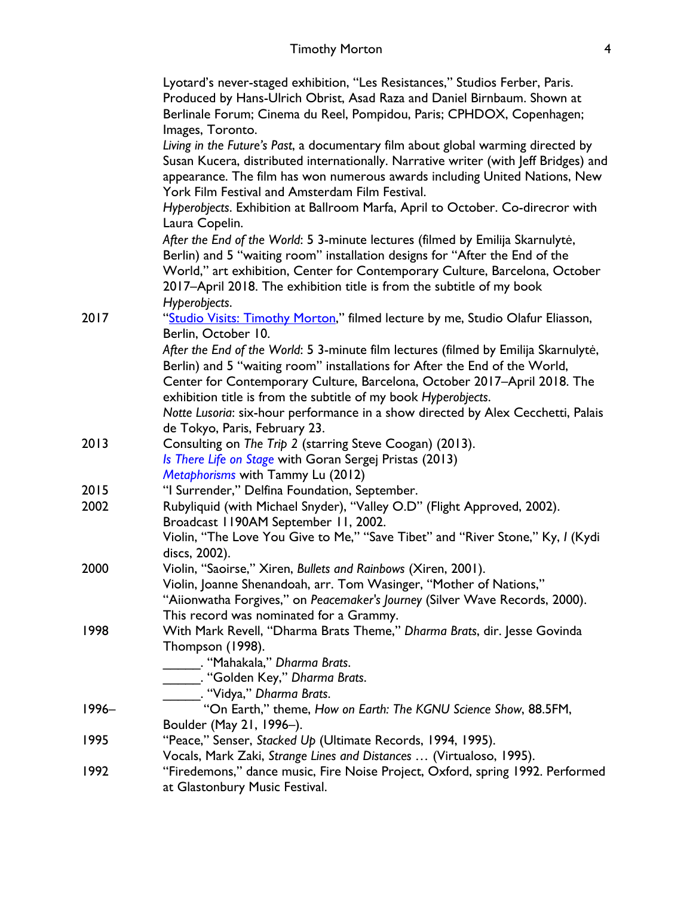|          | Lyotard's never-staged exhibition, "Les Resistances," Studios Ferber, Paris.                                    |
|----------|-----------------------------------------------------------------------------------------------------------------|
|          | Produced by Hans-Ulrich Obrist, Asad Raza and Daniel Birnbaum. Shown at                                         |
|          | Berlinale Forum; Cinema du Reel, Pompidou, Paris; CPHDOX, Copenhagen;                                           |
|          | Images, Toronto.                                                                                                |
|          | Living in the Future's Past, a documentary film about global warming directed by                                |
|          | Susan Kucera, distributed internationally. Narrative writer (with Jeff Bridges) and                             |
|          | appearance. The film has won numerous awards including United Nations, New                                      |
|          | York Film Festival and Amsterdam Film Festival.                                                                 |
|          | Hyperobjects. Exhibition at Ballroom Marfa, April to October. Co-direcror with<br>Laura Copelin.                |
|          | After the End of the World: 5 3-minute lectures (filmed by Emilija Skarnulytė,                                  |
|          | Berlin) and 5 "waiting room" installation designs for "After the End of the                                     |
|          | World," art exhibition, Center for Contemporary Culture, Barcelona, October                                     |
|          | 2017-April 2018. The exhibition title is from the subtitle of my book                                           |
|          | Hyperobjects.                                                                                                   |
| 2017     | "Studio Visits: Timothy Morton," filmed lecture by me, Studio Olafur Eliasson,                                  |
|          | Berlin, October 10.                                                                                             |
|          | After the End of the World: 5 3-minute film lectures (filmed by Emilija Skarnulytė,                             |
|          | Berlin) and 5 "waiting room" installations for After the End of the World,                                      |
|          | Center for Contemporary Culture, Barcelona, October 2017-April 2018. The                                        |
|          | exhibition title is from the subtitle of my book Hyperobjects.                                                  |
|          | Notte Lusoria: six-hour performance in a show directed by Alex Cecchetti, Palais                                |
|          | de Tokyo, Paris, February 23.                                                                                   |
| 2013     | Consulting on The Trip 2 (starring Steve Coogan) (2013).                                                        |
|          | Is There Life on Stage with Goran Sergej Pristas (2013)                                                         |
|          | Metaphorisms with Tammy Lu (2012)                                                                               |
| 2015     | "I Surrender," Delfina Foundation, September.                                                                   |
| 2002     | Rubyliquid (with Michael Snyder), "Valley O.D" (Flight Approved, 2002).<br>Broadcast II90AM September II, 2002. |
|          | Violin, "The Love You Give to Me," "Save Tibet" and "River Stone," Ky, I (Kydi                                  |
|          | discs, 2002).                                                                                                   |
| 2000     | Violin, "Saoirse," Xiren, Bullets and Rainbows (Xiren, 2001).                                                   |
|          | Violin, Joanne Shenandoah, arr. Tom Wasinger, "Mother of Nations,"                                              |
|          | "Aiionwatha Forgives," on Peacemaker's Journey (Silver Wave Records, 2000).                                     |
|          | This record was nominated for a Grammy.                                                                         |
| 1998     | With Mark Revell, "Dharma Brats Theme," Dharma Brats, dir. Jesse Govinda                                        |
|          | Thompson (1998).                                                                                                |
|          | . "Mahakala," Dharma Brats.                                                                                     |
|          | _. "Golden Key," Dharma Brats.                                                                                  |
|          | ____. "Vidya," Dharma Brats.<br>"On Earth," theme, How on Earth: The KGNU Science Show, 88.5FM,                 |
| $1996 -$ |                                                                                                                 |
|          | Boulder (May 21, 1996-).                                                                                        |
| 1995     | "Peace," Senser, Stacked Up (Ultimate Records, 1994, 1995).                                                     |
|          | Vocals, Mark Zaki, Strange Lines and Distances  (Virtualoso, 1995).                                             |
| 1992     | "Firedemons," dance music, Fire Noise Project, Oxford, spring 1992. Performed                                   |
|          | at Glastonbury Music Festival.                                                                                  |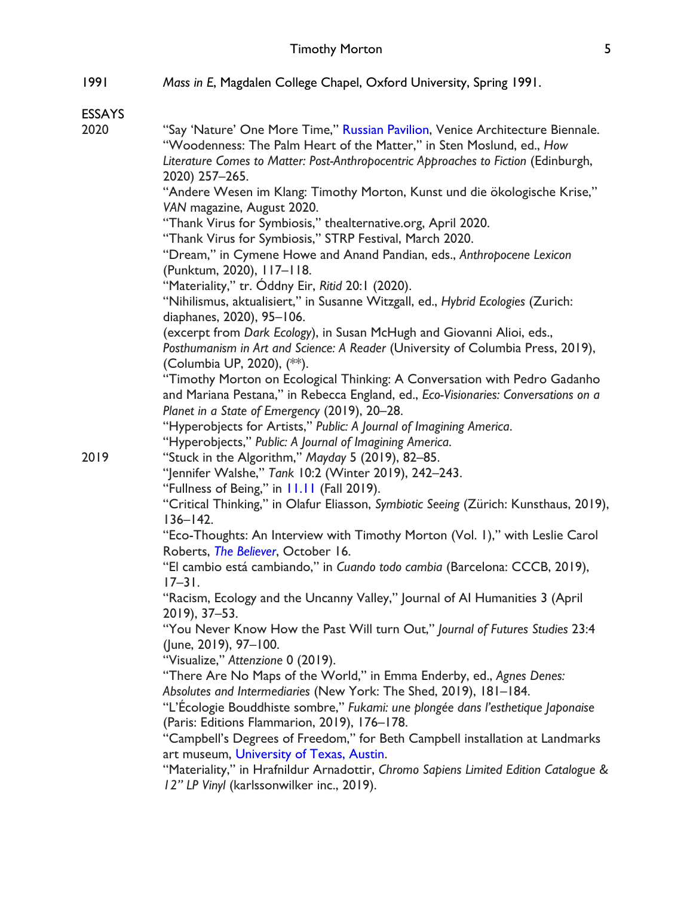| 1991 | Mass in E, Magdalen College Chapel, Oxford University, Spring 1991. |
|------|---------------------------------------------------------------------|
|------|---------------------------------------------------------------------|

ESSAYS

| 2020 | "Say 'Nature' One More Time," Russian Pavilion, Venice Architecture Biennale.<br>"Woodenness: The Palm Heart of the Matter," in Sten Moslund, ed., How |
|------|--------------------------------------------------------------------------------------------------------------------------------------------------------|
|      | Literature Comes to Matter: Post-Anthropocentric Approaches to Fiction (Edinburgh,                                                                     |
|      | 2020) 257-265.                                                                                                                                         |
|      | "Andere Wesen im Klang: Timothy Morton, Kunst und die ökologische Krise,"<br>VAN magazine, August 2020.                                                |
|      | "Thank Virus for Symbiosis," thealternative.org, April 2020.                                                                                           |
|      | "Thank Virus for Symbiosis," STRP Festival, March 2020.                                                                                                |
|      | "Dream," in Cymene Howe and Anand Pandian, eds., Anthropocene Lexicon                                                                                  |
|      | (Punktum, 2020), 117-118.                                                                                                                              |
|      | "Materiality," tr. Óddny Eir, Ritid 20:1 (2020).                                                                                                       |
|      | "Nihilismus, aktualisiert," in Susanne Witzgall, ed., Hybrid Ecologies (Zurich:                                                                        |
|      | diaphanes, 2020), 95-106.                                                                                                                              |
|      | (excerpt from Dark Ecology), in Susan McHugh and Giovanni Alioi, eds.,                                                                                 |
|      | Posthumanism in Art and Science: A Reader (University of Columbia Press, 2019),                                                                        |
|      | (Columbia UP, 2020), (**).                                                                                                                             |
|      | "Timothy Morton on Ecological Thinking: A Conversation with Pedro Gadanho                                                                              |
|      | and Mariana Pestana," in Rebecca England, ed., Eco-Visionaries: Conversations on a                                                                     |
|      | Planet in a State of Emergency (2019), 20-28.                                                                                                          |
|      | "Hyperobjects for Artists," Public: A Journal of Imagining America.                                                                                    |
|      | "Hyperobjects," Public: A Journal of Imagining America.                                                                                                |
| 2019 | "Stuck in the Algorithm," Mayday 5 (2019), 82-85.                                                                                                      |
|      | "Jennifer Walshe," Tank 10:2 (Winter 2019), 242-243.                                                                                                   |
|      | "Fullness of Being," in 11.11 (Fall 2019).                                                                                                             |
|      | "Critical Thinking," in Olafur Eliasson, Symbiotic Seeing (Zürich: Kunsthaus, 2019),                                                                   |
|      | $136 - 142$ .                                                                                                                                          |
|      | "Eco-Thoughts: An Interview with Timothy Morton (Vol. I)," with Leslie Carol                                                                           |
|      | Roberts, The Believer, October 16.                                                                                                                     |
|      | "El cambio está cambiando," in Cuando todo cambia (Barcelona: CCCB, 2019),<br>$17 - 31$ .                                                              |
|      | "Racism, Ecology and the Uncanny Valley," Journal of Al Humanities 3 (April                                                                            |
|      | 2019), 37-53.                                                                                                                                          |
|      | "You Never Know How the Past Will turn Out," Journal of Futures Studies 23:4                                                                           |
|      | (June, 2019), 97-100.                                                                                                                                  |
|      | "Visualize," Attenzione 0 (2019).                                                                                                                      |
|      | "There Are No Maps of the World," in Emma Enderby, ed., Agnes Denes:                                                                                   |
|      | Absolutes and Intermediaries (New York: The Shed, 2019), 181-184.                                                                                      |
|      | "L'Écologie Bouddhiste sombre," Fukami: une plongée dans l'esthetique Japonaise                                                                        |
|      | (Paris: Editions Flammarion, 2019), 176-178.                                                                                                           |
|      | "Campbell's Degrees of Freedom," for Beth Campbell installation at Landmarks                                                                           |
|      | art museum, University of Texas, Austin.                                                                                                               |
|      | "Materiality," in Hrafnildur Arnadottir, Chromo Sapiens Limited Edition Catalogue &                                                                    |
|      | 12" LP Vinyl (karlssonwilker inc., 2019).                                                                                                              |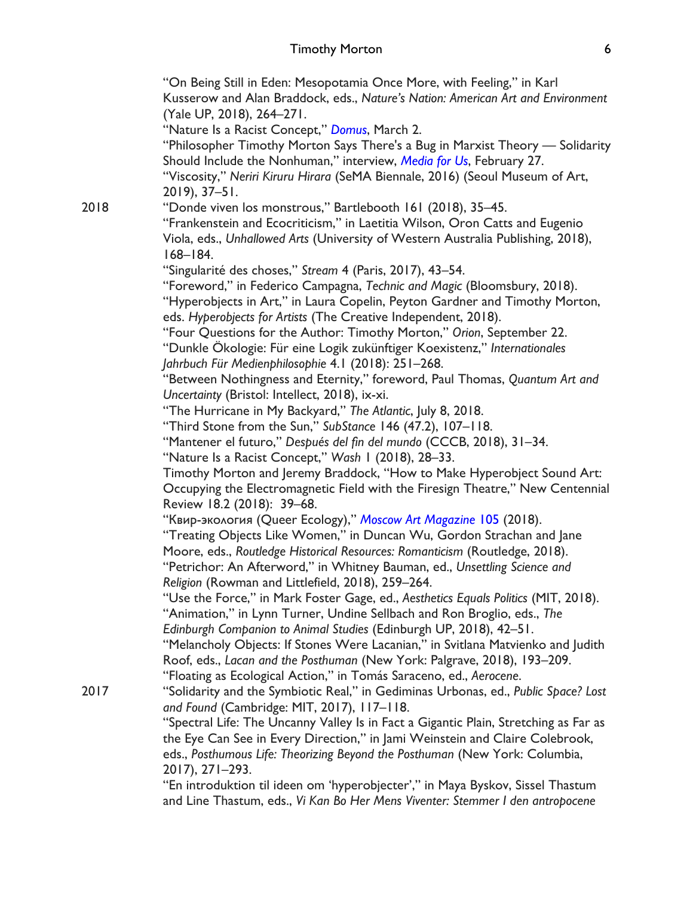"On Being Still in Eden: Mesopotamia Once More, with Feeling," in Karl Kusserow and Alan Braddock, eds., *Nature's Nation: American Art and Environment* (Yale UP, 2018), 264–271. "Nature Is a Racist Concept," *Domus*, March 2. "Philosopher Timothy Morton Says There's a Bug in Marxist Theory — Solidarity Should Include the Nonhuman," interview, *Media for Us*, February 27. "Viscosity," *Neriri Kiruru Hirara* (SeMA Biennale, 2016) (Seoul Museum of Art, 2019), 37–51. 2018 "Donde viven los monstrous," Bartlebooth 161 (2018), 35–45. "Frankenstein and Ecocriticism," in Laetitia Wilson, Oron Catts and Eugenio Viola, eds., *Unhallowed Arts* (University of Western Australia Publishing, 2018), 168–184. "Singularité des choses," *Stream* 4 (Paris, 2017), 43–54. "Foreword," in Federico Campagna, *Technic and Magic* (Bloomsbury, 2018). "Hyperobjects in Art," in Laura Copelin, Peyton Gardner and Timothy Morton, eds. *Hyperobjects for Artists* (The Creative Independent, 2018). "Four Questions for the Author: Timothy Morton," *Orion*, September 22. "Dunkle Ökologie: Für eine Logik zukünftiger Koexistenz," *Internationales Jahrbuch Für Medienphilosophie* 4.1 (2018): 251–268. "Between Nothingness and Eternity," foreword, Paul Thomas, *Quantum Art and Uncertainty* (Bristol: Intellect, 2018), ix-xi. "The Hurricane in My Backyard," *The Atlantic*, July 8, 2018. "Third Stone from the Sun," *SubStance* 146 (47.2), 107–118. "Mantener el futuro," *Después del fin del mundo* (CCCB, 2018), 31–34. "Nature Is a Racist Concept," *Wash* 1 (2018), 28–33. Timothy Morton and Jeremy Braddock, "How to Make Hyperobject Sound Art: Occupying the Electromagnetic Field with the Firesign Theatre," New Centennial Review 18.2 (2018): 39–68. "Квир-экология (Queer Ecology)," *Moscow Art Magazine* 105 (2018). "Treating Objects Like Women," in Duncan Wu, Gordon Strachan and Jane Moore, eds., *Routledge Historical Resources: Romanticism* (Routledge, 2018). "Petrichor: An Afterword," in Whitney Bauman, ed., *Unsettling Science and Religion* (Rowman and Littlefield, 2018), 259–264. "Use the Force," in Mark Foster Gage, ed., *Aesthetics Equals Politics* (MIT, 2018). "Animation," in Lynn Turner, Undine Sellbach and Ron Broglio, eds., *The Edinburgh Companion to Animal Studies* (Edinburgh UP, 2018), 42–51. "Melancholy Objects: If Stones Were Lacanian," in Svitlana Matvienko and Judith Roof, eds., *Lacan and the Posthuman* (New York: Palgrave, 2018), 193–209. "Floating as Ecological Action," in Tomás Saraceno, ed., *Aerocene*. 2017 "Solidarity and the Symbiotic Real," in Gediminas Urbonas, ed., *Public Space? Lost and Found* (Cambridge: MIT, 2017), 117–118. "Spectral Life: The Uncanny Valley Is in Fact a Gigantic Plain, Stretching as Far as the Eye Can See in Every Direction," in Jami Weinstein and Claire Colebrook, eds., *Posthumous Life: Theorizing Beyond the Posthuman* (New York: Columbia, 2017), 271–293. "En introduktion til ideen om 'hyperobjecter'," in Maya Byskov, Sissel Thastum

and Line Thastum, eds., *Vi Kan Bo Her Mens Viventer: Stemmer I den antropocene*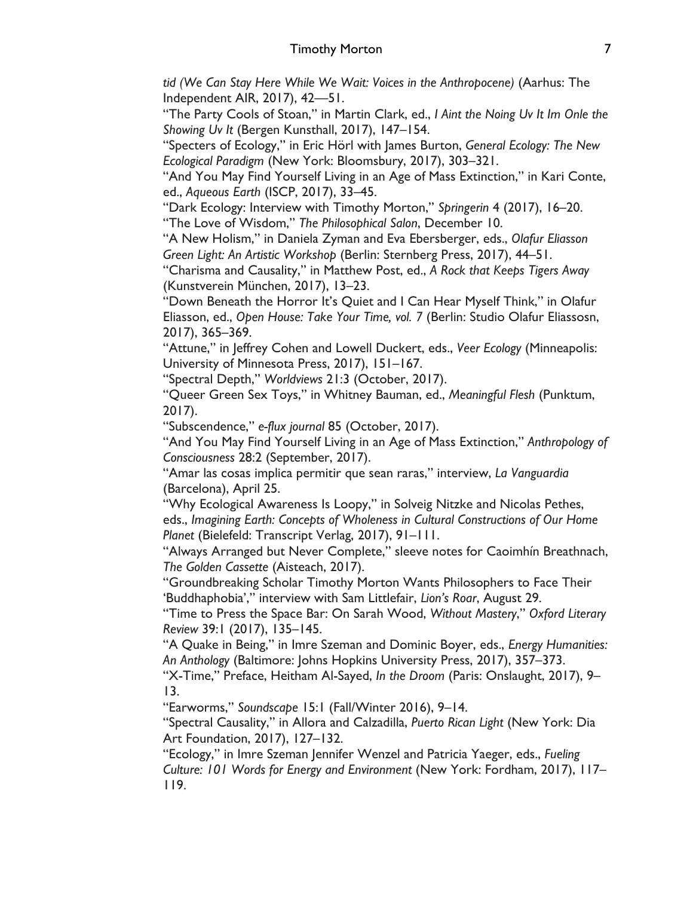*tid (We Can Stay Here While We Wait: Voices in the Anthropocene)* (Aarhus: The Independent AIR, 2017), 42—51.

"The Party Cools of Stoan," in Martin Clark, ed., *I Aint the Noing Uv It Im Onle the Showing Uv It* (Bergen Kunsthall, 2017), 147–154.

"Specters of Ecology," in Eric Hörl with James Burton, *General Ecology: The New Ecological Paradigm* (New York: Bloomsbury, 2017), 303–321.

"And You May Find Yourself Living in an Age of Mass Extinction," in Kari Conte, ed., *Aqueous Earth* (ISCP, 2017), 33–45.

"Dark Ecology: Interview with Timothy Morton," *Springerin* 4 (2017), 16–20. "The Love of Wisdom," *The Philosophical Salon*, December 10.

"A New Holism," in Daniela Zyman and Eva Ebersberger, eds., *Olafur Eliasson Green Light: An Artistic Workshop* (Berlin: Sternberg Press, 2017), 44–51.

"Charisma and Causality," in Matthew Post, ed., *A Rock that Keeps Tigers Away* (Kunstverein München, 2017), 13–23.

"Down Beneath the Horror It's Quiet and I Can Hear Myself Think," in Olafur Eliasson, ed., *Open House: Take Your Time, vol. 7* (Berlin: Studio Olafur Eliassosn, 2017), 365–369.

"Attune," in Jeffrey Cohen and Lowell Duckert, eds., *Veer Ecology* (Minneapolis: University of Minnesota Press, 2017), 151–167.

"Spectral Depth," *Worldviews* 21:3 (October, 2017).

"Queer Green Sex Toys," in Whitney Bauman, ed., *Meaningful Flesh* (Punktum, 2017).

"Subscendence," *e-flux journal* 85 (October, 2017).

"And You May Find Yourself Living in an Age of Mass Extinction," *Anthropology of Consciousness* 28:2 (September, 2017).

"Amar las cosas implica permitir que sean raras," interview, *La Vanguardia* (Barcelona), April 25.

"Why Ecological Awareness Is Loopy," in Solveig Nitzke and Nicolas Pethes, eds., *Imagining Earth: Concepts of Wholeness in Cultural Constructions of Our Home Planet* (Bielefeld: Transcript Verlag, 2017), 91–111.

"Always Arranged but Never Complete," sleeve notes for Caoimhín Breathnach, *The Golden Cassette* (Aisteach, 2017).

"Groundbreaking Scholar Timothy Morton Wants Philosophers to Face Their 'Buddhaphobia'," interview with Sam Littlefair, *Lion's Roar*, August 29.

"Time to Press the Space Bar: On Sarah Wood, *Without Mastery*," *Oxford Literary Review* 39:1 (2017), 135–145.

"A Quake in Being," in Imre Szeman and Dominic Boyer, eds., *Energy Humanities: An Anthology* (Baltimore: Johns Hopkins University Press, 2017), 357–373.

"X-Time," Preface, Heitham Al-Sayed, *In the Droom* (Paris: Onslaught, 2017), 9– 13.

"Earworms," *Soundscape* 15:1 (Fall/Winter 2016), 9–14.

"Spectral Causality," in Allora and Calzadilla, *Puerto Rican Light* (New York: Dia Art Foundation, 2017), 127–132.

"Ecology," in Imre Szeman Jennifer Wenzel and Patricia Yaeger, eds., *Fueling Culture: 101 Words for Energy and Environment* (New York: Fordham, 2017), 117– 119.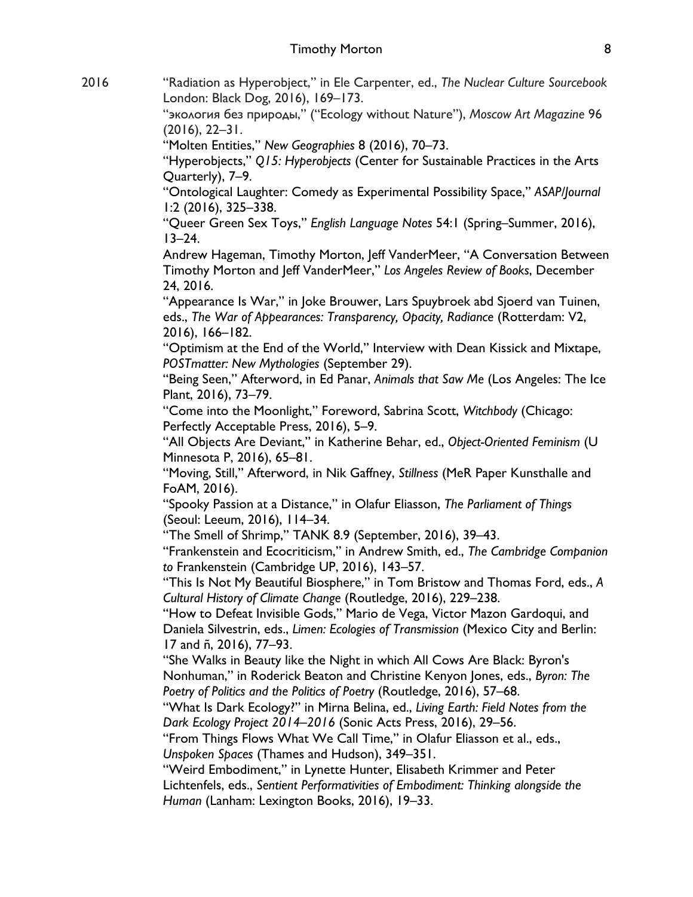2016 "Radiation as Hyperobject," in Ele Carpenter, ed., *The Nuclear Culture Sourcebook* London: Black Dog, 2016), 169–173.

"экология без природы," ("Ecology without Nature"), *Moscow Art Magazine* 96 (2016), 22–31.

"Molten Entities," *New Geographies* 8 (2016), 70–73.

"Hyperobjects," *Q15: Hyperobjects* (Center for Sustainable Practices in the Arts Quarterly), 7–9.

"Ontological Laughter: Comedy as Experimental Possibility Space," *ASAP/Journal*  1:2 (2016), 325–338.

"Queer Green Sex Toys," *English Language Notes* 54:1 (Spring–Summer, 2016),  $13 - 24.$ 

Andrew Hageman, Timothy Morton, Jeff VanderMeer, "A Conversation Between Timothy Morton and Jeff VanderMeer," *Los Angeles Review of Books*, December 24, 2016.

"Appearance Is War," in Joke Brouwer, Lars Spuybroek abd Sjoerd van Tuinen, eds., The War of Appearances: Transparency, Opacity, Radiance (Rotterdam: V2, 2016), 166–182.

"Optimism at the End of the World," Interview with Dean Kissick and Mixtape, *POSTmatter: New Mythologies* (September 29).

"Being Seen," Afterword, in Ed Panar, *Animals that Saw Me* (Los Angeles: The Ice Plant, 2016), 73–79.

"Come into the Moonlight," Foreword, Sabrina Scott, *Witchbody* (Chicago: Perfectly Acceptable Press, 2016), 5–9.

"All Objects Are Deviant," in Katherine Behar, ed., *Object-Oriented Feminism* (U Minnesota P, 2016), 65–81.

"Moving, Still," Afterword, in Nik Gaffney, *Stillness* (MeR Paper Kunsthalle and FoAM, 2016).

"Spooky Passion at a Distance," in Olafur Eliasson, *The Parliament of Things* (Seoul: Leeum, 2016), 114–34.

"The Smell of Shrimp," TANK 8.9 (September, 2016), 39–43.

"Frankenstein and Ecocriticism," in Andrew Smith, ed., *The Cambridge Companion to* Frankenstein (Cambridge UP, 2016), 143–57.

"This Is Not My Beautiful Biosphere," in Tom Bristow and Thomas Ford, eds., *A Cultural History of Climate Change* (Routledge, 2016), 229–238.

"How to Defeat Invisible Gods," Mario de Vega, Victor Mazon Gardoqui, and Daniela Silvestrin, eds., *Limen: Ecologies of Transmission* (Mexico City and Berlin: 17 and ñ, 2016), 77–93.

"She Walks in Beauty like the Night in which All Cows Are Black: Byron's Nonhuman," in Roderick Beaton and Christine Kenyon Jones, eds., *Byron: The Poetry of Politics and the Politics of Poetry* (Routledge, 2016), 57–68.

"What Is Dark Ecology?" in Mirna Belina, ed., *Living Earth: Field Notes from the Dark Ecology Project 2014–2016* (Sonic Acts Press, 2016), 29–56.

"From Things Flows What We Call Time," in Olafur Eliasson et al., eds., *Unspoken Spaces* (Thames and Hudson), 349–351.

"Weird Embodiment," in Lynette Hunter, Elisabeth Krimmer and Peter Lichtenfels, eds., *Sentient Performativities of Embodiment: Thinking alongside the Human* (Lanham: Lexington Books, 2016), 19–33.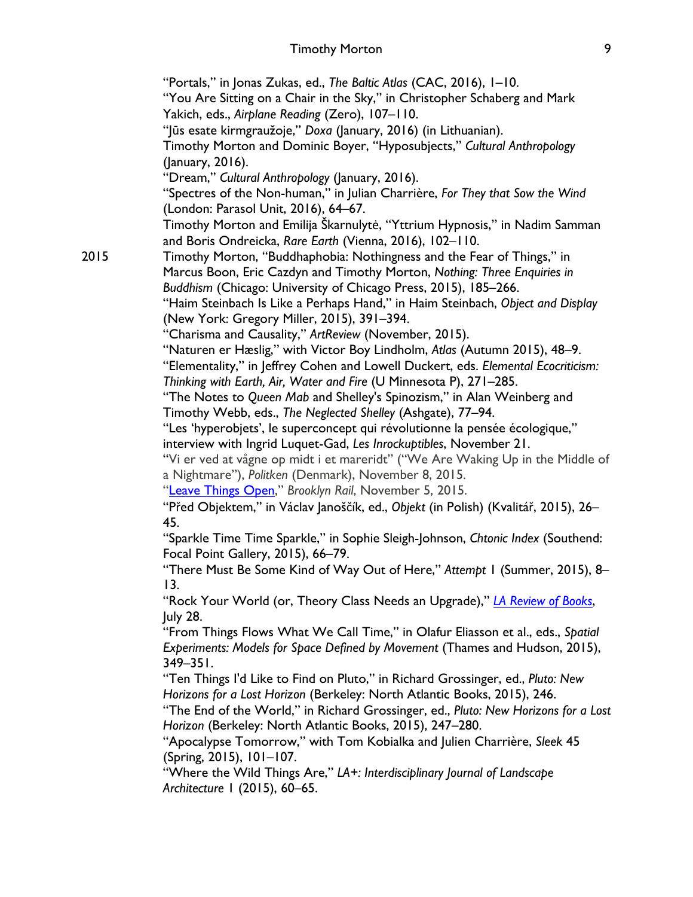#### Timothy Morton 9

"Portals," in Jonas Zukas, ed., *The Baltic Atlas* (CAC, 2016), 1–10. "You Are Sitting on a Chair in the Sky," in Christopher Schaberg and Mark Yakich, eds., *Airplane Reading* (Zero), 107–110. "Jūs esate kirmgraužoje," *Doxa* (January, 2016) (in Lithuanian). Timothy Morton and Dominic Boyer, "Hyposubjects," *Cultural Anthropology* (January, 2016). "Dream," *Cultural Anthropology* (January, 2016). "Spectres of the Non-human," in Julian Charrière, *For They that Sow the Wind*  (London: Parasol Unit, 2016), 64–67. Timothy Morton and Emilija Škarnulytė, "Yttrium Hypnosis," in Nadim Samman and Boris Ondreicka, *Rare Earth* (Vienna, 2016), 102–110. 2015 Timothy Morton, "Buddhaphobia: Nothingness and the Fear of Things," in Marcus Boon, Eric Cazdyn and Timothy Morton, *Nothing: Three Enquiries in Buddhism* (Chicago: University of Chicago Press, 2015), 185–266. "Haim Steinbach Is Like a Perhaps Hand," in Haim Steinbach, *Object and Display* (New York: Gregory Miller, 2015), 391–394. "Charisma and Causality," *ArtReview* (November, 2015). "Naturen er Hæslig," with Victor Boy Lindholm, *Atlas* (Autumn 2015), 48–9. "Elementality," in Jeffrey Cohen and Lowell Duckert, eds. *Elemental Ecocriticism: Thinking with Earth, Air, Water and Fire* (U Minnesota P), 271–285. "The Notes to *Queen Mab* and Shelley's Spinozism," in Alan Weinberg and Timothy Webb, eds., *The Neglected Shelley* (Ashgate), 77–94. "Les 'hyperobjets', le superconcept qui révolutionne la pensée écologique," interview with Ingrid Luquet-Gad, *Les Inrockuptibles*, November 21. "Vi er ved at vågne op midt i et mareridt" ("We Are Waking Up in the Middle of a Nightmare"), *Politken* (Denmark), November 8, 2015. "Leave Things Open," *Brooklyn Rail*, November 5, 2015. "Před Objektem," in Václav Janoščík, ed., *Objekt* (in Polish) (Kvalitář, 2015), 26– 45. "Sparkle Time Time Sparkle," in Sophie Sleigh-Johnson, *Chtonic Index* (Southend: Focal Point Gallery, 2015), 66–79. "There Must Be Some Kind of Way Out of Here," *Attempt* 1 (Summer, 2015), 8– 13. "Rock Your World (or, Theory Class Needs an Upgrade)," *LA Review of Books*, July 28. "From Things Flows What We Call Time," in Olafur Eliasson et al., eds., *Spatial Experiments: Models for Space Defined by Movement* (Thames and Hudson, 2015), 349–351. "Ten Things I'd Like to Find on Pluto," in Richard Grossinger, ed., *Pluto: New Horizons for a Lost Horizon* (Berkeley: North Atlantic Books, 2015), 246. "The End of the World," in Richard Grossinger, ed., *Pluto: New Horizons for a Lost Horizon* (Berkeley: North Atlantic Books, 2015), 247–280.

> "Apocalypse Tomorrow," with Tom Kobialka and Julien Charrière, *Sleek* 45 (Spring, 2015), 101–107.

"Where the Wild Things Are," *LA+: Interdisciplinary Journal of Landscape Architecture* 1 (2015), 60–65.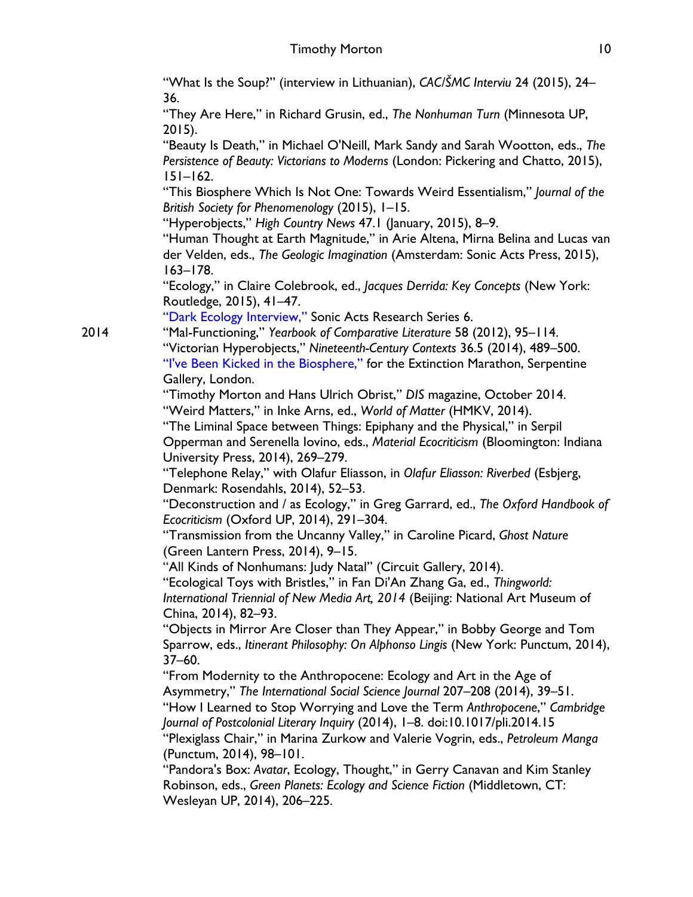"What Is the Soup?" (interview in Lithuanian), *CAC/ŠMC Interviu* 24 (2015), 24– 36.

"They Are Here," in Richard Grusin, ed., *The Nonhuman Turn* (Minnesota UP, 2015).

"Beauty Is Death," in Michael O'Neill, Mark Sandy and Sarah Wootton, eds., *The Persistence of Beauty: Victorians to Moderns* (London: Pickering and Chatto, 2015), 151–162.

"This Biosphere Which Is Not One: Towards Weird Essentialism," *Journal of the British Society for Phenomenology* (2015), 1–15.

"Hyperobjects," *High Country News* 47.1 (January, 2015), 8–9.

"Human Thought at Earth Magnitude," in Arie Altena, Mirna Belina and Lucas van der Velden, eds., *The Geologic Imagination* (Amsterdam: Sonic Acts Press, 2015), 163–178.

"Ecology," in Claire Colebrook, ed., *Jacques Derrida: Key Concepts* (New York: Routledge, 2015), 41–47.

"Dark Ecology Interview," Sonic Acts Research Series 6.

2014 "Mal-Functioning," *Yearbook of Comparative Literature* 58 (2012), 95–114. "Victorian Hyperobjects," *Nineteenth-Century Contexts* 36.5 (2014), 489–500.

"I've Been Kicked in the Biosphere," for the Extinction Marathon, Serpentine Gallery, London.

"Timothy Morton and Hans Ulrich Obrist," *DIS* magazine, October 2014. "Weird Matters," in Inke Arns, ed., *World of Matter* (HMKV, 2014).

"The Liminal Space between Things: Epiphany and the Physical," in Serpil Opperman and Serenella Iovino, eds., *Material Ecocriticism* (Bloomington: Indiana University Press, 2014), 269–279.

"Telephone Relay," with Olafur Eliasson, in *Olafur Eliasson: Riverbed* (Esbjerg, Denmark: Rosendahls, 2014), 52–53.

"Deconstruction and / as Ecology," in Greg Garrard, ed., *The Oxford Handbook of Ecocriticism* (Oxford UP, 2014), 291–304.

"Transmission from the Uncanny Valley," in Caroline Picard, *Ghost Nature* (Green Lantern Press, 2014), 9–15.

"All Kinds of Nonhumans: Judy Natal" (Circuit Gallery, 2014).

"Ecological Toys with Bristles," in Fan Di'An Zhang Ga, ed., *Thingworld: International Triennial of New Media Art, 2014* (Beijing: National Art Museum of China, 2014), 82–93.

"Objects in Mirror Are Closer than They Appear," in Bobby George and Tom Sparrow, eds., *Itinerant Philosophy: On Alphonso Lingis* (New York: Punctum, 2014), 37–60.

"From Modernity to the Anthropocene: Ecology and Art in the Age of Asymmetry," *The International Social Science Journal* 207–208 (2014), 39–51.

"How I Learned to Stop Worrying and Love the Term *Anthropocene*," *Cambridge Journal of Postcolonial Literary Inquiry* (2014), 1–8. doi:10.1017/pli.2014.15

"Plexiglass Chair," in Marina Zurkow and Valerie Vogrin, eds., *Petroleum Manga* (Punctum, 2014), 98–101.

"Pandora's Box: *Avatar*, Ecology, Thought," in Gerry Canavan and Kim Stanley Robinson, eds., *Green Planets: Ecology and Science Fiction* (Middletown, CT: Wesleyan UP, 2014), 206–225.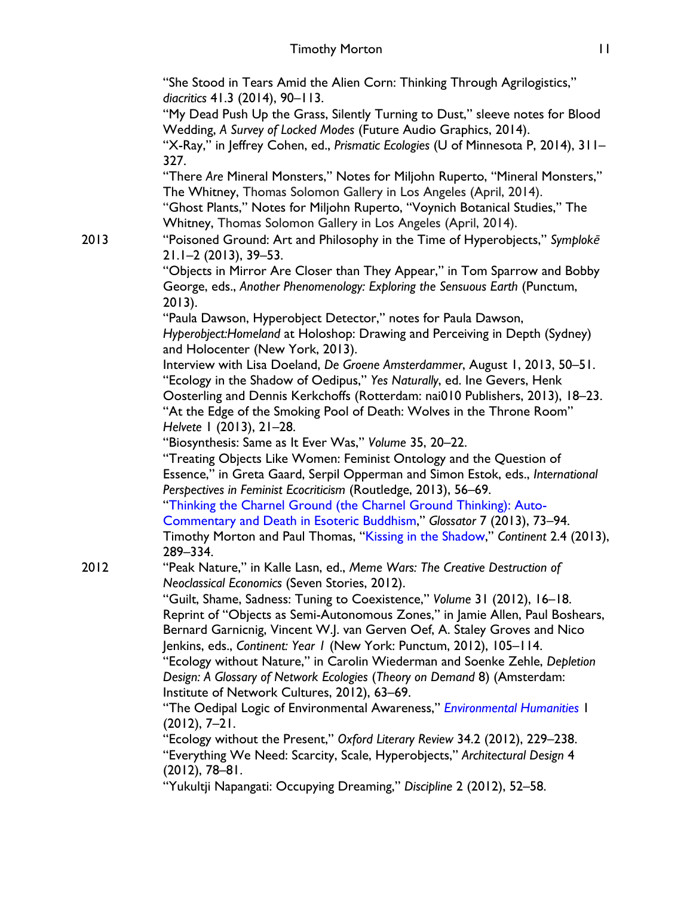"She Stood in Tears Amid the Alien Corn: Thinking Through Agrilogistics," *diacritics* 41.3 (2014), 90–113.

"My Dead Push Up the Grass, Silently Turning to Dust," sleeve notes for Blood Wedding, *A Survey of Locked Modes* (Future Audio Graphics, 2014).

"X-Ray," in Jeffrey Cohen, ed., *Prismatic Ecologies* (U of Minnesota P, 2014), 311– 327.

"There *Are* Mineral Monsters," Notes for Miljohn Ruperto, "Mineral Monsters," The Whitney, Thomas Solomon Gallery in Los Angeles (April, 2014).

"Ghost Plants," Notes for Miljohn Ruperto, "Voynich Botanical Studies," The Whitney, Thomas Solomon Gallery in Los Angeles (April, 2014).

2013 "Poisoned Ground: Art and Philosophy in the Time of Hyperobjects," *Symplokē* 21.1–2 (2013), 39–53.

"Objects in Mirror Are Closer than They Appear," in Tom Sparrow and Bobby George, eds., *Another Phenomenology: Exploring the Sensuous Earth* (Punctum, 2013).

"Paula Dawson, Hyperobject Detector," notes for Paula Dawson, *Hyperobject:Homeland* at Holoshop: Drawing and Perceiving in Depth (Sydney) and Holocenter (New York, 2013).

Interview with Lisa Doeland, *De Groene Amsterdammer*, August 1, 2013, 50–51. "Ecology in the Shadow of Oedipus," *Yes Naturally*, ed. Ine Gevers, Henk Oosterling and Dennis Kerkchoffs (Rotterdam: nai010 Publishers, 2013), 18–23. "At the Edge of the Smoking Pool of Death: Wolves in the Throne Room" *Helvete* 1 (2013), 21–28.

"Biosynthesis: Same as It Ever Was," *Volume* 35, 20–22.

"Treating Objects Like Women: Feminist Ontology and the Question of Essence," in Greta Gaard, Serpil Opperman and Simon Estok, eds., *International Perspectives in Feminist Ecocriticism* (Routledge, 2013), 56–69.

"Thinking the Charnel Ground (the Charnel Ground Thinking): Auto-

Commentary and Death in Esoteric Buddhism," *Glossator* 7 (2013), 73–94. Timothy Morton and Paul Thomas, "Kissing in the Shadow," *Continent* 2.4 (2013), 289–334.

2012 "Peak Nature," in Kalle Lasn, ed., *Meme Wars: The Creative Destruction of Neoclassical Economics* (Seven Stories, 2012).

> "Guilt, Shame, Sadness: Tuning to Coexistence," *Volume* 31 (2012), 16–18. Reprint of "Objects as Semi-Autonomous Zones," in Jamie Allen, Paul Boshears, Bernard Garnicnig, Vincent W.J. van Gerven Oef, A. Staley Groves and Nico Jenkins, eds., *Continent: Year 1* (New York: Punctum, 2012), 105–114.

"Ecology without Nature," in Carolin Wiederman and Soenke Zehle, *Depletion Design: A Glossary of Network Ecologies* (*Theory on Demand* 8) (Amsterdam: Institute of Network Cultures, 2012), 63–69.

"The Oedipal Logic of Environmental Awareness," *Environmental Humanities* 1 (2012), 7–21.

"Ecology without the Present," *Oxford Literary Review* 34.2 (2012), 229–238. "Everything We Need: Scarcity, Scale, Hyperobjects," *Architectural Design* 4 (2012), 78–81.

"Yukultji Napangati: Occupying Dreaming," *Discipline* 2 (2012), 52–58.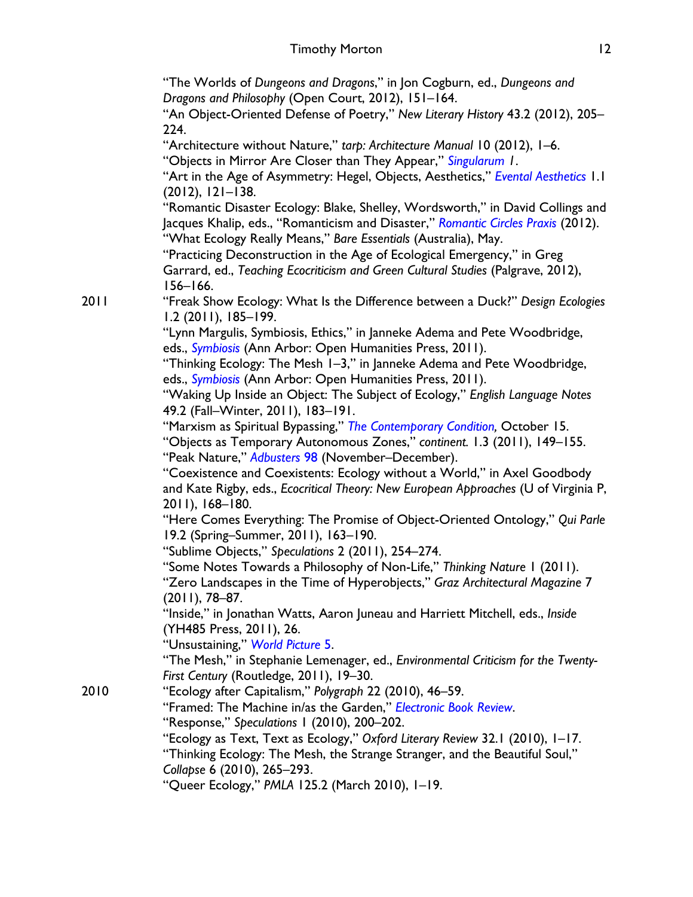"The Worlds of *Dungeons and Dragons*," in Jon Cogburn, ed., *Dungeons and Dragons and Philosophy* (Open Court, 2012), 151–164.

"An Object-Oriented Defense of Poetry," *New Literary History* 43.2 (2012), 205– 224.

"Architecture without Nature," *tarp: Architecture Manual* 10 (2012), 1–6.

"Objects in Mirror Are Closer than They Appear," *Singularum 1*.

"Art in the Age of Asymmetry: Hegel, Objects, Aesthetics," *Evental Aesthetics* 1.1 (2012), 121–138.

"Romantic Disaster Ecology: Blake, Shelley, Wordsworth," in David Collings and Jacques Khalip, eds., "Romanticism and Disaster," *Romantic Circles Praxis* (2012). "What Ecology Really Means," *Bare Essentials* (Australia), May.

"Practicing Deconstruction in the Age of Ecological Emergency," in Greg Garrard, ed., *Teaching Ecocriticism and Green Cultural Studies* (Palgrave, 2012), 156–166.

2011 "Freak Show Ecology: What Is the Difference between a Duck?" *Design Ecologies* 1.2 (2011), 185–199.

"Lynn Margulis, Symbiosis, Ethics," in Janneke Adema and Pete Woodbridge, eds., *Symbiosis* (Ann Arbor: Open Humanities Press, 2011).

"Thinking Ecology: The Mesh 1–3," in Janneke Adema and Pete Woodbridge, eds., *Symbiosis* (Ann Arbor: Open Humanities Press, 2011).

"Waking Up Inside an Object: The Subject of Ecology," *English Language Notes* 49.2 (Fall–Winter, 2011), 183–191.

"Marxism as Spiritual Bypassing," *The Contemporary Condition,* October 15.

"Objects as Temporary Autonomous Zones," *continent.* 1.3 (2011), 149–155. "Peak Nature," *Adbusters* 98 (November–December).

"Coexistence and Coexistents: Ecology without a World," in Axel Goodbody and Kate Rigby, eds., *Ecocritical Theory: New European Approaches* (U of Virginia P, 2011), 168–180.

"Here Comes Everything: The Promise of Object-Oriented Ontology," *Qui Parle* 19.2 (Spring–Summer, 2011), 163–190.

"Sublime Objects," *Speculations* 2 (2011), 254–274.

"Some Notes Towards a Philosophy of Non-Life," *Thinking Nature* 1 (2011).

"Zero Landscapes in the Time of Hyperobjects," *Graz Architectural Magazine* 7 (2011), 78–87.

"Inside," in Jonathan Watts, Aaron Juneau and Harriett Mitchell, eds., *Inside* (YH485 Press, 2011), 26.

"Unsustaining," *World Picture* 5.

"The Mesh," in Stephanie Lemenager, ed., *Environmental Criticism for the Twenty-First Century* (Routledge, 2011), 19–30.

2010 "Ecology after Capitalism," *Polygraph* 22 (2010), 46–59.

"Framed: The Machine in/as the Garden," *Electronic Book Review*.

"Response," *Speculations* 1 (2010), 200–202.

"Ecology as Text, Text as Ecology," *Oxford Literary Review* 32.1 (2010), 1–17.

"Thinking Ecology: The Mesh, the Strange Stranger, and the Beautiful Soul," *Collapse* 6 (2010), 265–293.

"Queer Ecology," *PMLA* 125.2 (March 2010), 1–19.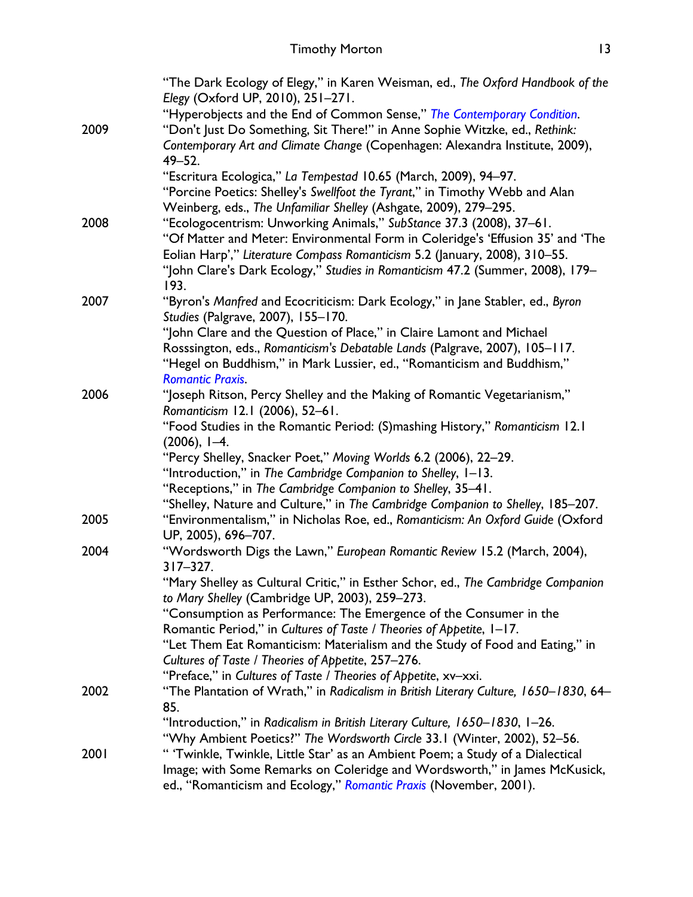|      | "The Dark Ecology of Elegy," in Karen Weisman, ed., The Oxford Handbook of the<br>Elegy (Oxford UP, 2010), 251-271.                                  |
|------|------------------------------------------------------------------------------------------------------------------------------------------------------|
|      | "Hyperobjects and the End of Common Sense," The Contemporary Condition.                                                                              |
| 2009 | "Don't Just Do Something, Sit There!" in Anne Sophie Witzke, ed., Rethink:                                                                           |
|      | Contemporary Art and Climate Change (Copenhagen: Alexandra Institute, 2009),<br>$49 - 52.$                                                           |
|      | "Escritura Ecologica," La Tempestad 10.65 (March, 2009), 94-97.                                                                                      |
|      | "Porcine Poetics: Shelley's Swellfoot the Tyrant," in Timothy Webb and Alan                                                                          |
|      | Weinberg, eds., The Unfamiliar Shelley (Ashgate, 2009), 279-295.                                                                                     |
| 2008 | "Ecologocentrism: Unworking Animals," SubStance 37.3 (2008), 37-61.                                                                                  |
|      | "Of Matter and Meter: Environmental Form in Coleridge's 'Effusion 35' and 'The                                                                       |
|      | Eolian Harp'," Literature Compass Romanticism 5.2 (January, 2008), 310-55.                                                                           |
|      | "John Clare's Dark Ecology," Studies in Romanticism 47.2 (Summer, 2008), 179-<br>193.                                                                |
| 2007 | "Byron's Manfred and Ecocriticism: Dark Ecology," in Jane Stabler, ed., Byron                                                                        |
|      | Studies (Palgrave, 2007), 155-170.                                                                                                                   |
|      | "John Clare and the Question of Place," in Claire Lamont and Michael                                                                                 |
|      | Rosssington, eds., Romanticism's Debatable Lands (Palgrave, 2007), 105-117.                                                                          |
|      | "Hegel on Buddhism," in Mark Lussier, ed., "Romanticism and Buddhism,"                                                                               |
|      | <b>Romantic Praxis.</b>                                                                                                                              |
| 2006 | "Joseph Ritson, Percy Shelley and the Making of Romantic Vegetarianism,"                                                                             |
|      | Romanticism 12.1 (2006), 52-61.                                                                                                                      |
|      | "Food Studies in the Romantic Period: (S)mashing History," Romanticism 12.1<br>$(2006)$ , $I-4$ .                                                    |
|      | "Percy Shelley, Snacker Poet," Moving Worlds 6.2 (2006), 22-29.                                                                                      |
|      | "Introduction," in The Cambridge Companion to Shelley, I-13.                                                                                         |
|      | "Receptions," in The Cambridge Companion to Shelley, 35-41.                                                                                          |
|      | "Shelley, Nature and Culture," in The Cambridge Companion to Shelley, 185-207.                                                                       |
| 2005 | "Environmentalism," in Nicholas Roe, ed., Romanticism: An Oxford Guide (Oxford                                                                       |
|      | UP, 2005), 696-707.                                                                                                                                  |
| 2004 | "Wordsworth Digs the Lawn," European Romantic Review 15.2 (March, 2004),                                                                             |
|      | $317 - 327.$                                                                                                                                         |
|      | "Mary Shelley as Cultural Critic," in Esther Schor, ed., The Cambridge Companion                                                                     |
|      | to Mary Shelley (Cambridge UP, 2003), 259-273.                                                                                                       |
|      | "Consumption as Performance: The Emergence of the Consumer in the                                                                                    |
|      | Romantic Period," in Cultures of Taste / Theories of Appetite, 1-17.<br>"Let Them Eat Romanticism: Materialism and the Study of Food and Eating," in |
|      | Cultures of Taste / Theories of Appetite, 257-276.                                                                                                   |
|      | "Preface," in Cultures of Taste / Theories of Appetite, xv-xxi.                                                                                      |
| 2002 | "The Plantation of Wrath," in Radicalism in British Literary Culture, 1650-1830, 64-                                                                 |
|      | 85.                                                                                                                                                  |
|      | "Introduction," in Radicalism in British Literary Culture, 1650-1830, 1-26.                                                                          |
|      | "Why Ambient Poetics?" The Wordsworth Circle 33.1 (Winter, 2002), 52-56.                                                                             |
| 2001 | " 'Twinkle, Twinkle, Little Star' as an Ambient Poem; a Study of a Dialectical                                                                       |
|      | Image; with Some Remarks on Coleridge and Wordsworth," in James McKusick,                                                                            |
|      | ed., "Romanticism and Ecology," Romantic Praxis (November, 2001).                                                                                    |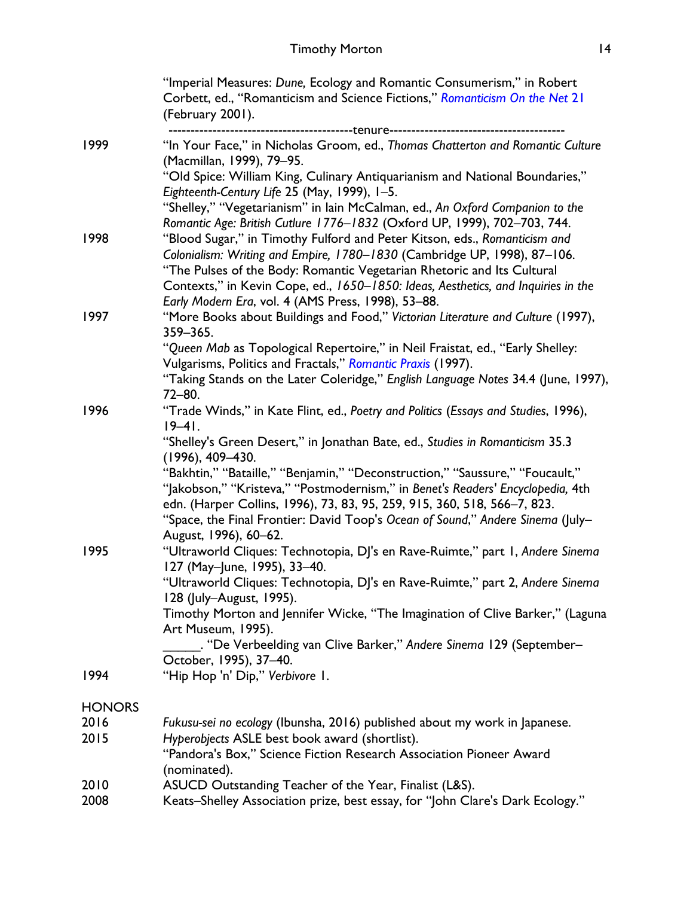|               | "Imperial Measures: Dune, Ecology and Romantic Consumerism," in Robert<br>Corbett, ed., "Romanticism and Science Fictions," Romanticism On the Net 21<br>(February 2001).<br>----------------------------------tenure-----------------------------                                                                                                    |
|---------------|-------------------------------------------------------------------------------------------------------------------------------------------------------------------------------------------------------------------------------------------------------------------------------------------------------------------------------------------------------|
| 1999          | "In Your Face," in Nicholas Groom, ed., Thomas Chatterton and Romantic Culture<br>(Macmillan, 1999), 79-95.<br>"Old Spice: William King, Culinary Antiquarianism and National Boundaries,"                                                                                                                                                            |
|               | Eighteenth-Century Life 25 (May, 1999), 1-5.<br>"Shelley," "Vegetarianism" in lain McCalman, ed., An Oxford Companion to the<br>Romantic Age: British Cutlure 1776-1832 (Oxford UP, 1999), 702-703, 744.                                                                                                                                              |
| 1998          | "Blood Sugar," in Timothy Fulford and Peter Kitson, eds., Romanticism and<br>Colonialism: Writing and Empire, 1780-1830 (Cambridge UP, 1998), 87-106.<br>"The Pulses of the Body: Romantic Vegetarian Rhetoric and Its Cultural<br>Contexts," in Kevin Cope, ed., 1650-1850: Ideas, Aesthetics, and Inquiries in the                                  |
| 1997          | Early Modern Era, vol. 4 (AMS Press, 1998), 53-88.<br>"More Books about Buildings and Food," Victorian Literature and Culture (1997),<br>359-365.                                                                                                                                                                                                     |
|               | "Queen Mab as Topological Repertoire," in Neil Fraistat, ed., "Early Shelley:<br>Vulgarisms, Politics and Fractals," Romantic Praxis (1997).                                                                                                                                                                                                          |
|               | "Taking Stands on the Later Coleridge," English Language Notes 34.4 (June, 1997),<br>$72 - 80.$                                                                                                                                                                                                                                                       |
| 1996          | "Trade Winds," in Kate Flint, ed., Poetry and Politics (Essays and Studies, 1996),<br>$19 - 41$ .                                                                                                                                                                                                                                                     |
|               | "Shelley's Green Desert," in Jonathan Bate, ed., Studies in Romanticism 35.3<br>$(1996), 409 - 430.$                                                                                                                                                                                                                                                  |
|               | "Bakhtin," "Bataille," "Benjamin," "Deconstruction," "Saussure," "Foucault,"<br>"Jakobson," "Kristeva," "Postmodernism," in Benet's Readers' Encyclopedia, 4th<br>edn. (Harper Collins, 1996), 73, 83, 95, 259, 915, 360, 518, 566-7, 823.<br>"Space, the Final Frontier: David Toop's Ocean of Sound," Andere Sinema (July-<br>August, 1996), 60–62. |
| 1995          | "Ultraworld Cliques: Technotopia, DJ's en Rave-Ruimte," part 1, Andere Sinema<br>127 (May-June, 1995), 33-40.                                                                                                                                                                                                                                         |
|               | "Ultraworld Cliques: Technotopia, DJ's en Rave-Ruimte," part 2, Andere Sinema<br>128 (July-August, 1995).                                                                                                                                                                                                                                             |
|               | Timothy Morton and Jennifer Wicke, "The Imagination of Clive Barker," (Laguna<br>Art Museum, 1995).                                                                                                                                                                                                                                                   |
|               | . "De Verbeelding van Clive Barker," Andere Sinema 129 (September-<br>October, 1995), 37-40.                                                                                                                                                                                                                                                          |
| 1994          | "Hip Hop 'n' Dip," Verbivore I.                                                                                                                                                                                                                                                                                                                       |
| <b>HONORS</b> |                                                                                                                                                                                                                                                                                                                                                       |
| 2016          | Fukusu-sei no ecology (Ibunsha, 2016) published about my work in Japanese.                                                                                                                                                                                                                                                                            |
| 2015          | Hyperobjects ASLE best book award (shortlist).<br>"Pandora's Box," Science Fiction Research Association Pioneer Award                                                                                                                                                                                                                                 |
|               | (nominated).                                                                                                                                                                                                                                                                                                                                          |
| 2010<br>2008  | ASUCD Outstanding Teacher of the Year, Finalist (L&S).<br>Keats–Shelley Association prize, best essay, for "John Clare's Dark Ecology."                                                                                                                                                                                                               |
|               |                                                                                                                                                                                                                                                                                                                                                       |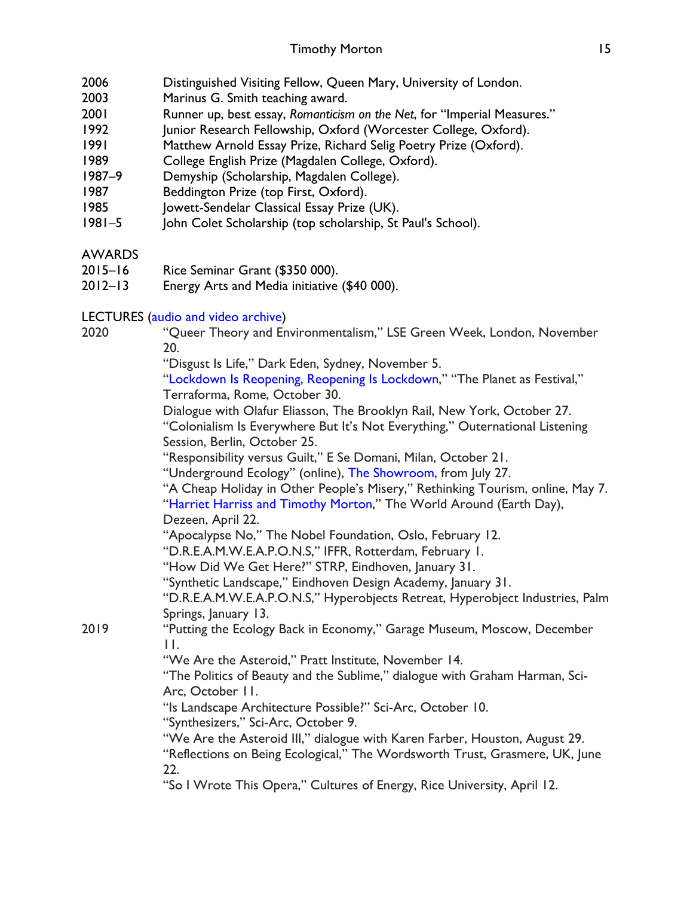- 2006 Distinguished Visiting Fellow, Queen Mary, University of London.
- 2003 Marinus G. Smith teaching award.
- 2001 Runner up, best essay, *Romanticism on the Net*, for "Imperial Measures."
- 1992 Junior Research Fellowship, Oxford (Worcester College, Oxford).
- 1991 Matthew Arnold Essay Prize, Richard Selig Poetry Prize (Oxford).
- 1989 College English Prize (Magdalen College, Oxford).
- 1987–9 Demyship (Scholarship, Magdalen College).
- 1987 Beddington Prize (top First, Oxford).
- 1985 Jowett-Sendelar Classical Essay Prize (UK).
- 1981–5 John Colet Scholarship (top scholarship, St Paul's School).

## AWARDS

- 2015–16 Rice Seminar Grant (\$350 000).
- 2012–13 Energy Arts and Media initiative (\$40 000).

## LECTURES (audio and video archive)

| 2020 | "Queer Theory and Environmentalism," LSE Green Week, London, November<br>20.                                                                                                            |
|------|-----------------------------------------------------------------------------------------------------------------------------------------------------------------------------------------|
|      | "Disgust Is Life," Dark Eden, Sydney, November 5.                                                                                                                                       |
|      | "Lockdown Is Reopening, Reopening Is Lockdown," "The Planet as Festival,"<br>Terraforma, Rome, October 30.                                                                              |
|      | Dialogue with Olafur Eliasson, The Brooklyn Rail, New York, October 27.<br>"Colonialism Is Everywhere But It's Not Everything," Outernational Listening<br>Session, Berlin, October 25. |
|      | "Responsibility versus Guilt," E Se Domani, Milan, October 21.                                                                                                                          |
|      | "Underground Ecology" (online), The Showroom, from July 27.                                                                                                                             |
|      | "A Cheap Holiday in Other People's Misery," Rethinking Tourism, online, May 7.<br>"Harriet Harriss and Timothy Morton," The World Around (Earth Day),                                   |
|      | Dezeen, April 22.<br>"Apocalypse No," The Nobel Foundation, Oslo, February 12.                                                                                                          |
|      | "D.R.E.A.M.W.E.A.P.O.N.S," IFFR, Rotterdam, February 1.                                                                                                                                 |
|      | "How Did We Get Here?" STRP, Eindhoven, January 31.                                                                                                                                     |
|      | "Synthetic Landscape," Eindhoven Design Academy, January 31.                                                                                                                            |
|      | "D.R.E.A.M.W.E.A.P.O.N.S," Hyperobjects Retreat, Hyperobject Industries, Palm<br>Springs, January 13.                                                                                   |
| 2019 | "Putting the Ecology Back in Economy," Garage Museum, Moscow, December<br>$\prod$                                                                                                       |
|      | "We Are the Asteroid," Pratt Institute, November 14.                                                                                                                                    |
|      | "The Politics of Beauty and the Sublime," dialogue with Graham Harman, Sci-<br>Arc, October 11.                                                                                         |
|      | "Is Landscape Architecture Possible?" Sci-Arc, October 10.<br>"Synthesizers," Sci-Arc, October 9.                                                                                       |
|      | "We Are the Asteroid III," dialogue with Karen Farber, Houston, August 29.<br>"Reflections on Being Ecological," The Wordsworth Trust, Grasmere, UK, June<br>22.                        |
|      | "So I Wrote This Opera," Cultures of Energy, Rice University, April 12.                                                                                                                 |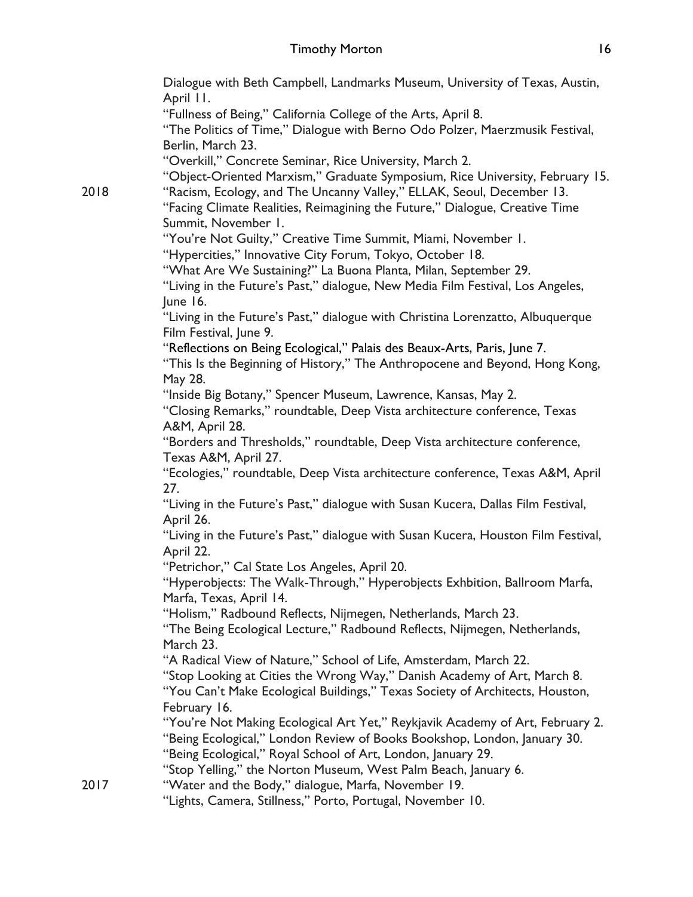Dialogue with Beth Campbell, Landmarks Museum, University of Texas, Austin, April 11. "Fullness of Being," California College of the Arts, April 8. "The Politics of Time," Dialogue with Berno Odo Polzer, Maerzmusik Festival, Berlin, March 23. "Overkill," Concrete Seminar, Rice University, March 2. "Object-Oriented Marxism," Graduate Symposium, Rice University, February 15. 2018 "Racism, Ecology, and The Uncanny Valley," ELLAK, Seoul, December 13. "Facing Climate Realities, Reimagining the Future," Dialogue, Creative Time Summit, November 1. "You're Not Guilty," Creative Time Summit, Miami, November 1. "Hypercities," Innovative City Forum, Tokyo, October 18. "What Are We Sustaining?" La Buona Planta, Milan, September 29. "Living in the Future's Past," dialogue, New Media Film Festival, Los Angeles, June 16. "Living in the Future's Past," dialogue with Christina Lorenzatto, Albuquerque Film Festival, June 9. "Reflections on Being Ecological," Palais des Beaux-Arts, Paris, June 7. "This Is the Beginning of History," The Anthropocene and Beyond, Hong Kong, May 28. "Inside Big Botany," Spencer Museum, Lawrence, Kansas, May 2. "Closing Remarks," roundtable, Deep Vista architecture conference, Texas A&M, April 28. "Borders and Thresholds," roundtable, Deep Vista architecture conference, Texas A&M, April 27. "Ecologies," roundtable, Deep Vista architecture conference, Texas A&M, April 27. "Living in the Future's Past," dialogue with Susan Kucera, Dallas Film Festival, April 26. "Living in the Future's Past," dialogue with Susan Kucera, Houston Film Festival, April 22. "Petrichor," Cal State Los Angeles, April 20. "Hyperobjects: The Walk-Through," Hyperobjects Exhbition, Ballroom Marfa, Marfa, Texas, April 14. "Holism," Radbound Reflects, Nijmegen, Netherlands, March 23. "The Being Ecological Lecture," Radbound Reflects, Nijmegen, Netherlands, March 23. "A Radical View of Nature," School of Life, Amsterdam, March 22. "Stop Looking at Cities the Wrong Way," Danish Academy of Art, March 8. "You Can't Make Ecological Buildings," Texas Society of Architects, Houston, February 16. "You're Not Making Ecological Art Yet," Reykjavik Academy of Art, February 2. "Being Ecological," London Review of Books Bookshop, London, January 30. "Being Ecological," Royal School of Art, London, January 29. "Stop Yelling," the Norton Museum, West Palm Beach, January 6. 2017 "Water and the Body," dialogue, Marfa, November 19. "Lights, Camera, Stillness," Porto, Portugal, November 10.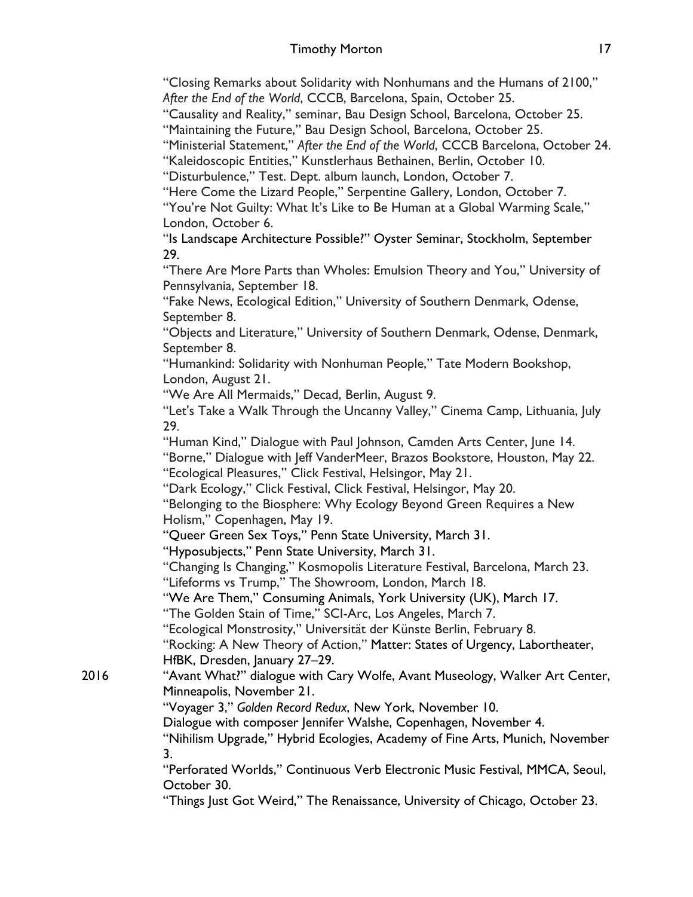"Closing Remarks about Solidarity with Nonhumans and the Humans of 2100," *After the End of the World*, CCCB, Barcelona, Spain, October 25.

"Causality and Reality," seminar, Bau Design School, Barcelona, October 25.

"Maintaining the Future," Bau Design School, Barcelona, October 25.

"Ministerial Statement," *After the End of the World*, CCCB Barcelona, October 24.

"Kaleidoscopic Entities," Kunstlerhaus Bethainen, Berlin, October 10.

"Disturbulence," Test. Dept. album launch, London, October 7.

"Here Come the Lizard People," Serpentine Gallery, London, October 7.

"You're Not Guilty: What It's Like to Be Human at a Global Warming Scale," London, October 6.

"Is Landscape Architecture Possible?" Oyster Seminar, Stockholm, September 29.

"There Are More Parts than Wholes: Emulsion Theory and You," University of Pennsylvania, September 18.

"Fake News, Ecological Edition," University of Southern Denmark, Odense, September 8.

"Objects and Literature," University of Southern Denmark, Odense, Denmark, September 8.

"Humankind: Solidarity with Nonhuman People," Tate Modern Bookshop, London, August 21.

"We Are All Mermaids," Decad, Berlin, August 9.

"Let's Take a Walk Through the Uncanny Valley," Cinema Camp, Lithuania, July 29.

"Human Kind," Dialogue with Paul Johnson, Camden Arts Center, June 14.

"Borne," Dialogue with Jeff VanderMeer, Brazos Bookstore, Houston, May 22.

"Ecological Pleasures," Click Festival, Helsingor, May 21.

"Dark Ecology," Click Festival, Click Festival, Helsingor, May 20.

"Belonging to the Biosphere: Why Ecology Beyond Green Requires a New Holism," Copenhagen, May 19.

"Queer Green Sex Toys," Penn State University, March 31.

"Hyposubjects," Penn State University, March 31.

"Changing Is Changing," Kosmopolis Literature Festival, Barcelona, March 23. "Lifeforms vs Trump," The Showroom, London, March 18.

"We Are Them," Consuming Animals, York University (UK), March 17.

"The Golden Stain of Time," SCI-Arc, Los Angeles, March 7.

"Ecological Monstrosity," Universität der Künste Berlin, February 8.

"Rocking: A New Theory of Action," Matter: States of Urgency, Labortheater, HfBK, Dresden, January 27–29.

2016 "Avant What?" dialogue with Cary Wolfe, Avant Museology, Walker Art Center, Minneapolis, November 21.

"Voyager 3," *Golden Record Redux*, New York, November 10.

Dialogue with composer Jennifer Walshe, Copenhagen, November 4.

"Nihilism Upgrade," Hybrid Ecologies, Academy of Fine Arts, Munich, November 3.

"Perforated Worlds," Continuous Verb Electronic Music Festival, MMCA, Seoul, October 30.

"Things Just Got Weird," The Renaissance, University of Chicago, October 23.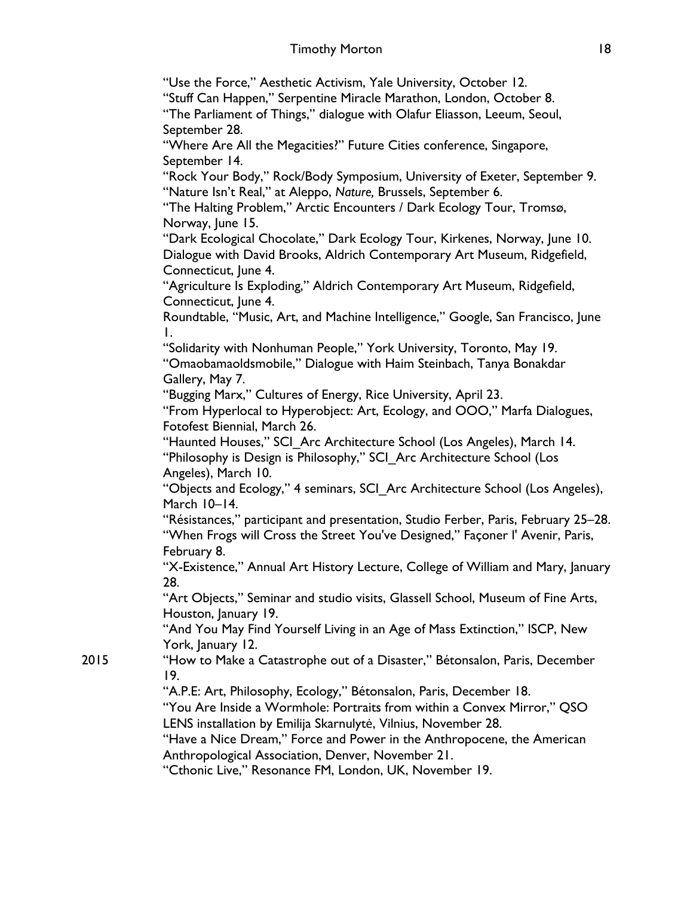"Use the Force," Aesthetic Activism, Yale University, October 12.

"Stuff Can Happen," Serpentine Miracle Marathon, London, October 8.

"The Parliament of Things," dialogue with Olafur Eliasson, Leeum, Seoul, September 28.

"Where Are All the Megacities?" Future Cities conference, Singapore, September 14.

"Rock Your Body," Rock/Body Symposium, University of Exeter, September 9. "Nature Isn't Real," at Aleppo, *Nature,* Brussels, September 6.

"The Halting Problem," Arctic Encounters / Dark Ecology Tour, Tromsø, Norway, June 15.

"Dark Ecological Chocolate," Dark Ecology Tour, Kirkenes, Norway, June 10. Dialogue with David Brooks, Aldrich Contemporary Art Museum, Ridgefield, Connecticut, June 4.

"Agriculture Is Exploding," Aldrich Contemporary Art Museum, Ridgefield, Connecticut, June 4.

Roundtable, "Music, Art, and Machine Intelligence," Google, San Francisco, June 1.

"Solidarity with Nonhuman People," York University, Toronto, May 19.

"Omaobamaoldsmobile," Dialogue with Haim Steinbach, Tanya Bonakdar Gallery, May 7.

"Bugging Marx," Cultures of Energy, Rice University, April 23.

"From Hyperlocal to Hyperobject: Art, Ecology, and OOO," Marfa Dialogues, Fotofest Biennial, March 26.

"Haunted Houses," SCI\_Arc Architecture School (Los Angeles), March 14. "Philosophy is Design is Philosophy," SCI\_Arc Architecture School (Los Angeles), March 10.

"Objects and Ecology," 4 seminars, SCI\_Arc Architecture School (Los Angeles), March 10–14.

"Résistances," participant and presentation, Studio Ferber, Paris, February 25–28. "When Frogs will Cross the Street You've Designed," Façoner l' Avenir, Paris, February 8.

"X-Existence," Annual Art History Lecture, College of William and Mary, January 28.

"Art Objects," Seminar and studio visits, Glassell School, Museum of Fine Arts, Houston, January 19.

"And You May Find Yourself Living in an Age of Mass Extinction," ISCP, New York, January 12.

2015 "How to Make a Catastrophe out of a Disaster," Bétonsalon, Paris, December 19.

"A.P.E: Art, Philosophy, Ecology," Bétonsalon, Paris, December 18.

"You Are Inside a Wormhole: Portraits from within a Convex Mirror," QSO LENS installation by Emilija Skarnulytė, Vilnius, November 28.

"Have a Nice Dream," Force and Power in the Anthropocene, the American Anthropological Association, Denver, November 21.

"Cthonic Live," Resonance FM, London, UK, November 19.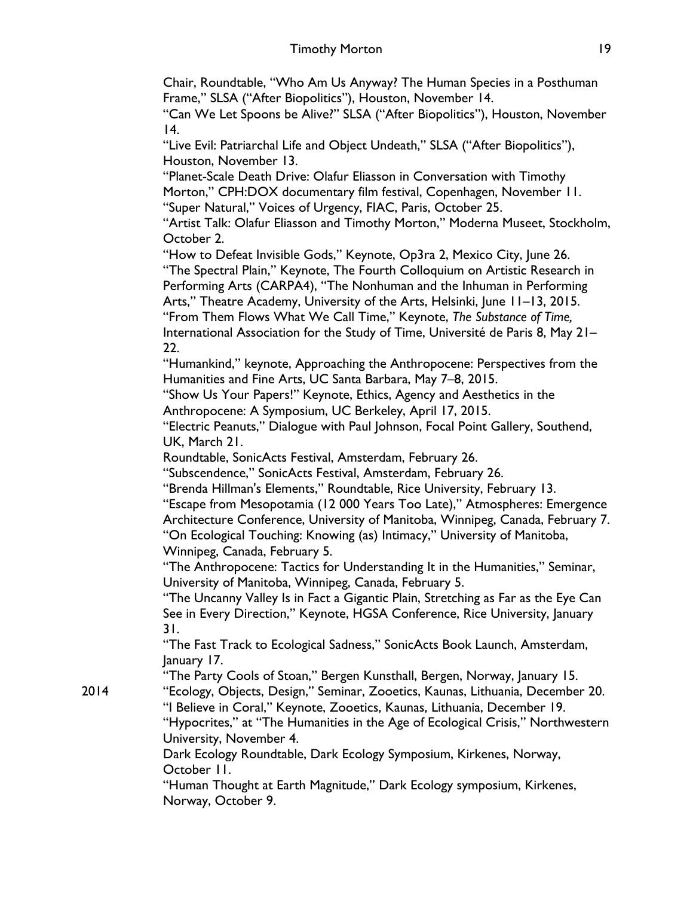Chair, Roundtable, "Who Am Us Anyway? The Human Species in a Posthuman Frame," SLSA ("After Biopolitics"), Houston, November 14.

"Can We Let Spoons be Alive?" SLSA ("After Biopolitics"), Houston, November 14.

"Live Evil: Patriarchal Life and Object Undeath," SLSA ("After Biopolitics"), Houston, November 13.

"Planet-Scale Death Drive: Olafur Eliasson in Conversation with Timothy Morton," CPH:DOX documentary film festival, Copenhagen, November 11. "Super Natural," Voices of Urgency, FIAC, Paris, October 25.

"Artist Talk: Olafur Eliasson and Timothy Morton," Moderna Museet, Stockholm, October 2.

"How to Defeat Invisible Gods," Keynote, Op3ra 2, Mexico City, June 26. "The Spectral Plain," Keynote, The Fourth Colloquium on Artistic Research in Performing Arts (CARPA4), "The Nonhuman and the Inhuman in Performing Arts," Theatre Academy, University of the Arts, Helsinki, June 11–13, 2015. "From Them Flows What We Call Time," Keynote, *The Substance of Time,*  International Association for the Study of Time, Université de Paris 8, May 21– 22.

"Humankind," keynote, Approaching the Anthropocene: Perspectives from the Humanities and Fine Arts, UC Santa Barbara, May 7–8, 2015.

"Show Us Your Papers!" Keynote, Ethics, Agency and Aesthetics in the Anthropocene: A Symposium, UC Berkeley, April 17, 2015.

"Electric Peanuts," Dialogue with Paul Johnson, Focal Point Gallery, Southend, UK, March 21.

Roundtable, SonicActs Festival, Amsterdam, February 26.

"Subscendence," SonicActs Festival, Amsterdam, February 26.

"Brenda Hillman's Elements," Roundtable, Rice University, February 13.

"Escape from Mesopotamia (12 000 Years Too Late)," Atmospheres: Emergence Architecture Conference, University of Manitoba, Winnipeg, Canada, February 7. "On Ecological Touching: Knowing (as) Intimacy," University of Manitoba, Winnipeg, Canada, February 5.

"The Anthropocene: Tactics for Understanding It in the Humanities," Seminar, University of Manitoba, Winnipeg, Canada, February 5.

"The Uncanny Valley Is in Fact a Gigantic Plain, Stretching as Far as the Eye Can See in Every Direction," Keynote, HGSA Conference, Rice University, January 31.

"The Fast Track to Ecological Sadness," SonicActs Book Launch, Amsterdam, January 17.

"The Party Cools of Stoan," Bergen Kunsthall, Bergen, Norway, January 15. 2014 "Ecology, Objects, Design," Seminar, Zooetics, Kaunas, Lithuania, December 20. "I Believe in Coral," Keynote, Zooetics, Kaunas, Lithuania, December 19. "Hypocrites," at "The Humanities in the Age of Ecological Crisis," Northwestern University, November 4.

> Dark Ecology Roundtable, Dark Ecology Symposium, Kirkenes, Norway, October 11.

"Human Thought at Earth Magnitude," Dark Ecology symposium, Kirkenes, Norway, October 9.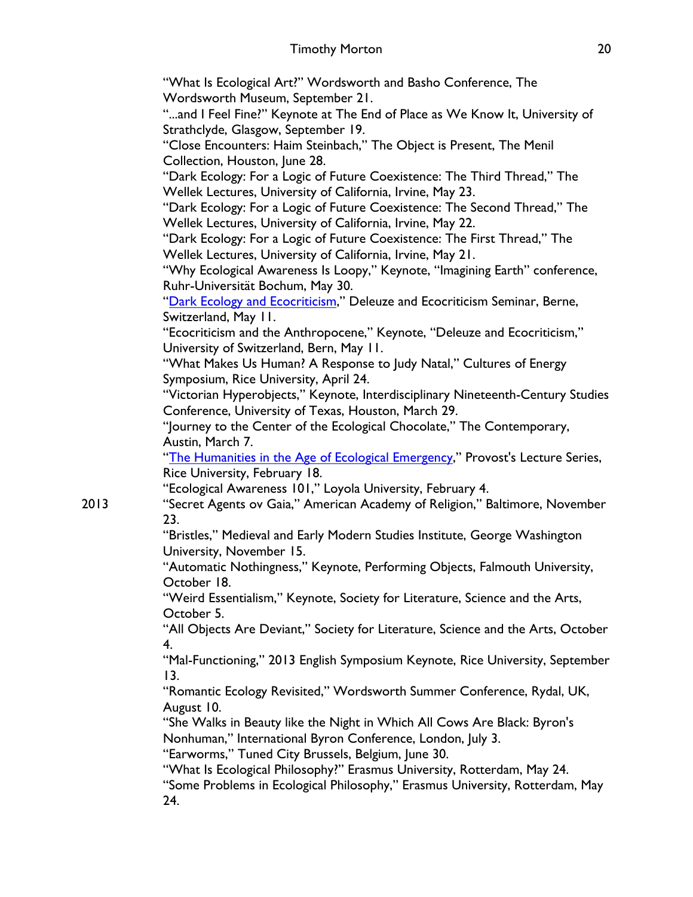"What Is Ecological Art?" Wordsworth and Basho Conference, The Wordsworth Museum, September 21.

"...and I Feel Fine?" Keynote at The End of Place as We Know It, University of Strathclyde, Glasgow, September 19.

"Close Encounters: Haim Steinbach," The Object is Present, The Menil Collection, Houston, June 28.

"Dark Ecology: For a Logic of Future Coexistence: The Third Thread," The Wellek Lectures, University of California, Irvine, May 23.

"Dark Ecology: For a Logic of Future Coexistence: The Second Thread," The Wellek Lectures, University of California, Irvine, May 22.

"Dark Ecology: For a Logic of Future Coexistence: The First Thread," The Wellek Lectures, University of California, Irvine, May 21.

"Why Ecological Awareness Is Loopy," Keynote, "Imagining Earth" conference, Ruhr-Universität Bochum, May 30.

"Dark Ecology and Ecocriticism," Deleuze and Ecocriticism Seminar, Berne, Switzerland, May 11.

"Ecocriticism and the Anthropocene," Keynote, "Deleuze and Ecocriticism," University of Switzerland, Bern, May 11.

"What Makes Us Human? A Response to Judy Natal," Cultures of Energy Symposium, Rice University, April 24.

"Victorian Hyperobjects," Keynote, Interdisciplinary Nineteenth-Century Studies Conference, University of Texas, Houston, March 29.

"Journey to the Center of the Ecological Chocolate," The Contemporary, Austin, March 7.

"The Humanities in the Age of Ecological Emergency," Provost's Lecture Series, Rice University, February 18.

"Ecological Awareness 101," Loyola University, February 4.

2013 "Secret Agents ov Gaia," American Academy of Religion," Baltimore, November 23.

"Bristles," Medieval and Early Modern Studies Institute, George Washington University, November 15.

"Automatic Nothingness," Keynote, Performing Objects, Falmouth University, October 18.

"Weird Essentialism," Keynote, Society for Literature, Science and the Arts, October 5.

"All Objects Are Deviant," Society for Literature, Science and the Arts, October 4.

"Mal-Functioning," 2013 English Symposium Keynote, Rice University, September 13.

"Romantic Ecology Revisited," Wordsworth Summer Conference, Rydal, UK, August 10.

"She Walks in Beauty like the Night in Which All Cows Are Black: Byron's Nonhuman," International Byron Conference, London, July 3.

"Earworms," Tuned City Brussels, Belgium, June 30.

"What Is Ecological Philosophy?" Erasmus University, Rotterdam, May 24.

"Some Problems in Ecological Philosophy," Erasmus University, Rotterdam, May 24.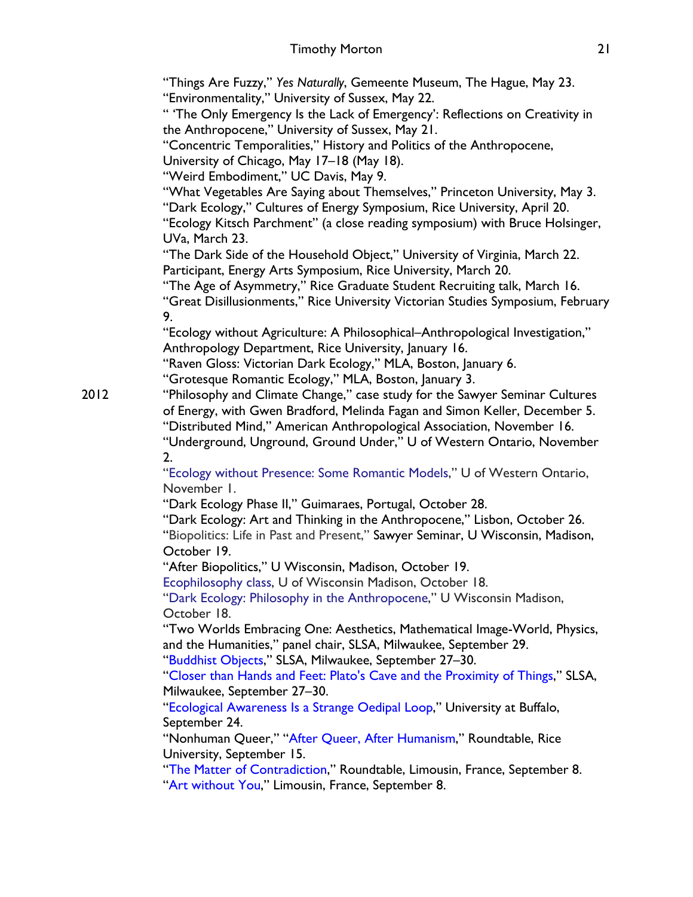"Things Are Fuzzy," *Yes Naturally*, Gemeente Museum, The Hague, May 23. "Environmentality," University of Sussex, May 22.

" 'The Only Emergency Is the Lack of Emergency': Reflections on Creativity in the Anthropocene," University of Sussex, May 21.

"Concentric Temporalities," History and Politics of the Anthropocene,

University of Chicago, May 17–18 (May 18).

"Weird Embodiment," UC Davis, May 9.

"What Vegetables Are Saying about Themselves," Princeton University, May 3.

"Dark Ecology," Cultures of Energy Symposium, Rice University, April 20.

"Ecology Kitsch Parchment" (a close reading symposium) with Bruce Holsinger, UVa, March 23.

"The Dark Side of the Household Object," University of Virginia, March 22. Participant, Energy Arts Symposium, Rice University, March 20.

"The Age of Asymmetry," Rice Graduate Student Recruiting talk, March 16. "Great Disillusionments," Rice University Victorian Studies Symposium, February 9.

"Ecology without Agriculture: A Philosophical–Anthropological Investigation," Anthropology Department, Rice University, January 16.

"Raven Gloss: Victorian Dark Ecology," MLA, Boston, January 6.

"Grotesque Romantic Ecology," MLA, Boston, January 3.

2012 "Philosophy and Climate Change," case study for the Sawyer Seminar Cultures of Energy, with Gwen Bradford, Melinda Fagan and Simon Keller, December 5. "Distributed Mind," American Anthropological Association, November 16.

"Underground, Unground, Ground Under," U of Western Ontario, November 2.

"Ecology without Presence: Some Romantic Models," U of Western Ontario, November 1.

"Dark Ecology Phase II," Guimaraes, Portugal, October 28.

"Dark Ecology: Art and Thinking in the Anthropocene," Lisbon, October 26. "Biopolitics: Life in Past and Present," Sawyer Seminar, U Wisconsin, Madison, October 19.

"After Biopolitics," U Wisconsin, Madison, October 19.

Ecophilosophy class, U of Wisconsin Madison, October 18.

"Dark Ecology: Philosophy in the Anthropocene," U Wisconsin Madison, October 18.

"Two Worlds Embracing One: Aesthetics, Mathematical Image-World, Physics, and the Humanities," panel chair, SLSA, Milwaukee, September 29.

"Buddhist Objects," SLSA, Milwaukee, September 27–30.

"Closer than Hands and Feet: Plato's Cave and the Proximity of Things," SLSA, Milwaukee, September 27–30.

"Ecological Awareness Is a Strange Oedipal Loop," University at Buffalo, September 24.

"Nonhuman Queer," "After Queer, After Humanism," Roundtable, Rice University, September 15.

"The Matter of Contradiction," Roundtable, Limousin, France, September 8. "Art without You," Limousin, France, September 8.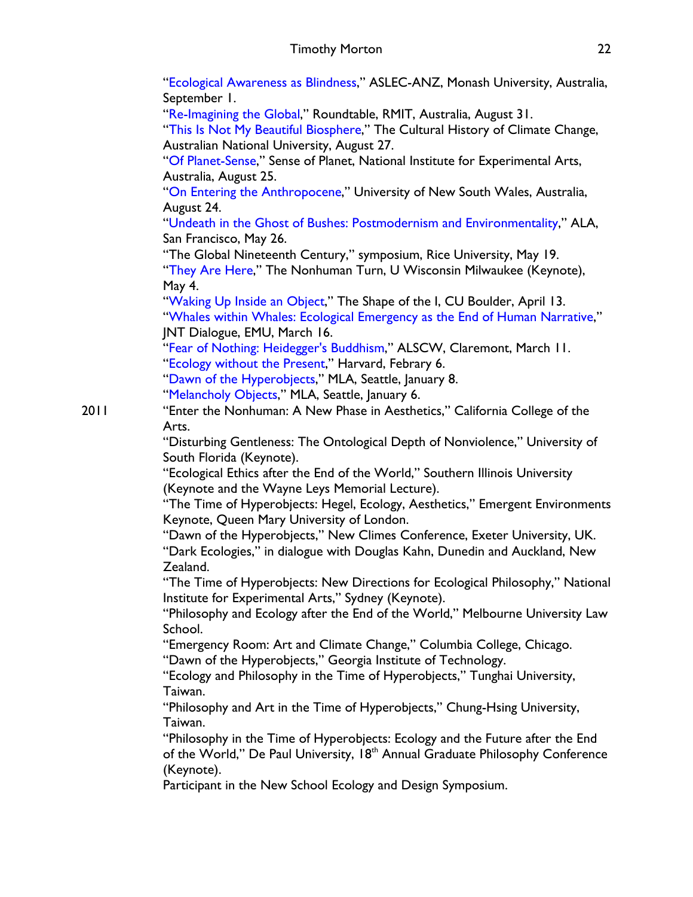"Ecological Awareness as Blindness," ASLEC-ANZ, Monash University, Australia, September 1.

"Re-Imagining the Global," Roundtable, RMIT, Australia, August 31.

"This Is Not My Beautiful Biosphere," The Cultural History of Climate Change, Australian National University, August 27.

"Of Planet-Sense," Sense of Planet, National Institute for Experimental Arts, Australia, August 25.

"On Entering the Anthropocene," University of New South Wales, Australia, August 24.

"Undeath in the Ghost of Bushes: Postmodernism and Environmentality," ALA, San Francisco, May 26.

"The Global Nineteenth Century," symposium, Rice University, May 19.

"They Are Here," The Nonhuman Turn, U Wisconsin Milwaukee (Keynote), May 4.

"Waking Up Inside an Object," The Shape of the I, CU Boulder, April 13. "Whales within Whales: Ecological Emergency as the End of Human Narrative," JNT Dialogue, EMU, March 16.

"Fear of Nothing: Heidegger's Buddhism," ALSCW, Claremont, March 11.

"Ecology without the Present," Harvard, Febrary 6.

"Dawn of the Hyperobjects," MLA, Seattle, January 8.

"Melancholy Objects," MLA, Seattle, January 6.

2011 "Enter the Nonhuman: A New Phase in Aesthetics," California College of the Arts.

"Disturbing Gentleness: The Ontological Depth of Nonviolence," University of South Florida (Keynote).

"Ecological Ethics after the End of the World," Southern Illinois University (Keynote and the Wayne Leys Memorial Lecture).

"The Time of Hyperobjects: Hegel, Ecology, Aesthetics," Emergent Environments Keynote, Queen Mary University of London.

"Dawn of the Hyperobjects," New Climes Conference, Exeter University, UK. "Dark Ecologies," in dialogue with Douglas Kahn, Dunedin and Auckland, New Zealand.

"The Time of Hyperobjects: New Directions for Ecological Philosophy," National Institute for Experimental Arts," Sydney (Keynote).

"Philosophy and Ecology after the End of the World," Melbourne University Law School.

"Emergency Room: Art and Climate Change," Columbia College, Chicago.

"Dawn of the Hyperobjects," Georgia Institute of Technology.

"Ecology and Philosophy in the Time of Hyperobjects," Tunghai University, Taiwan.

"Philosophy and Art in the Time of Hyperobjects," Chung-Hsing University, Taiwan.

"Philosophy in the Time of Hyperobjects: Ecology and the Future after the End of the World," De Paul University, 18<sup>th</sup> Annual Graduate Philosophy Conference (Keynote).

Participant in the New School Ecology and Design Symposium.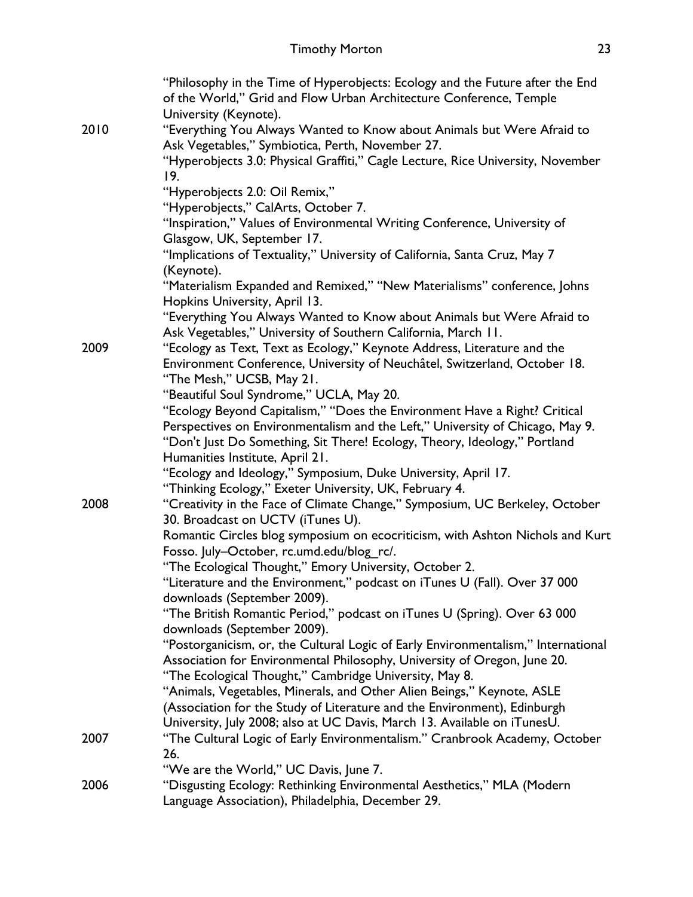|      | "Philosophy in the Time of Hyperobjects: Ecology and the Future after the End<br>of the World," Grid and Flow Urban Architecture Conference, Temple |
|------|-----------------------------------------------------------------------------------------------------------------------------------------------------|
|      | University (Keynote).                                                                                                                               |
| 2010 | "Everything You Always Wanted to Know about Animals but Were Afraid to                                                                              |
|      | Ask Vegetables," Symbiotica, Perth, November 27.                                                                                                    |
|      | "Hyperobjects 3.0: Physical Graffiti," Cagle Lecture, Rice University, November<br>19.                                                              |
|      | "Hyperobjects 2.0: Oil Remix,"                                                                                                                      |
|      | "Hyperobjects," CalArts, October 7.                                                                                                                 |
|      | "Inspiration," Values of Environmental Writing Conference, University of                                                                            |
|      | Glasgow, UK, September 17.                                                                                                                          |
|      | "Implications of Textuality," University of California, Santa Cruz, May 7<br>(Keynote).                                                             |
|      | "Materialism Expanded and Remixed," "New Materialisms" conference, Johns                                                                            |
|      | Hopkins University, April 13.                                                                                                                       |
|      | "Everything You Always Wanted to Know about Animals but Were Afraid to<br>Ask Vegetables," University of Southern California, March 11.             |
| 2009 | "Ecology as Text, Text as Ecology," Keynote Address, Literature and the                                                                             |
|      | Environment Conference, University of Neuchâtel, Switzerland, October 18.                                                                           |
|      | "The Mesh," UCSB, May 21.                                                                                                                           |
|      | "Beautiful Soul Syndrome," UCLA, May 20.                                                                                                            |
|      | "Ecology Beyond Capitalism," "Does the Environment Have a Right? Critical                                                                           |
|      | Perspectives on Environmentalism and the Left," University of Chicago, May 9.                                                                       |
|      | "Don't Just Do Something, Sit There! Ecology, Theory, Ideology," Portland                                                                           |
|      | Humanities Institute, April 21.                                                                                                                     |
|      | "Ecology and Ideology," Symposium, Duke University, April 17.                                                                                       |
|      | "Thinking Ecology," Exeter University, UK, February 4.                                                                                              |
| 2008 | "Creativity in the Face of Climate Change," Symposium, UC Berkeley, October<br>30. Broadcast on UCTV (iTunes U).                                    |
|      | Romantic Circles blog symposium on ecocriticism, with Ashton Nichols and Kurt                                                                       |
|      | Fosso. July-October, rc.umd.edu/blog rc/.                                                                                                           |
|      | "The Ecological Thought," Emory University, October 2.                                                                                              |
|      | "Literature and the Environment," podcast on iTunes U (Fall). Over 37 000                                                                           |
|      | downloads (September 2009).                                                                                                                         |
|      | "The British Romantic Period," podcast on iTunes U (Spring). Over 63 000<br>downloads (September 2009).                                             |
|      | "Postorganicism, or, the Cultural Logic of Early Environmentalism," International                                                                   |
|      | Association for Environmental Philosophy, University of Oregon, June 20.                                                                            |
|      | "The Ecological Thought," Cambridge University, May 8.                                                                                              |
|      | "Animals, Vegetables, Minerals, and Other Alien Beings," Keynote, ASLE                                                                              |
|      | (Association for the Study of Literature and the Environment), Edinburgh                                                                            |
|      | University, July 2008; also at UC Davis, March 13. Available on iTunesU.                                                                            |
| 2007 | "The Cultural Logic of Early Environmentalism." Cranbrook Academy, October                                                                          |
|      | 26.                                                                                                                                                 |
|      | "We are the World," UC Davis, June 7.                                                                                                               |
| 2006 | "Disgusting Ecology: Rethinking Environmental Aesthetics," MLA (Modern                                                                              |
|      | Language Association), Philadelphia, December 29.                                                                                                   |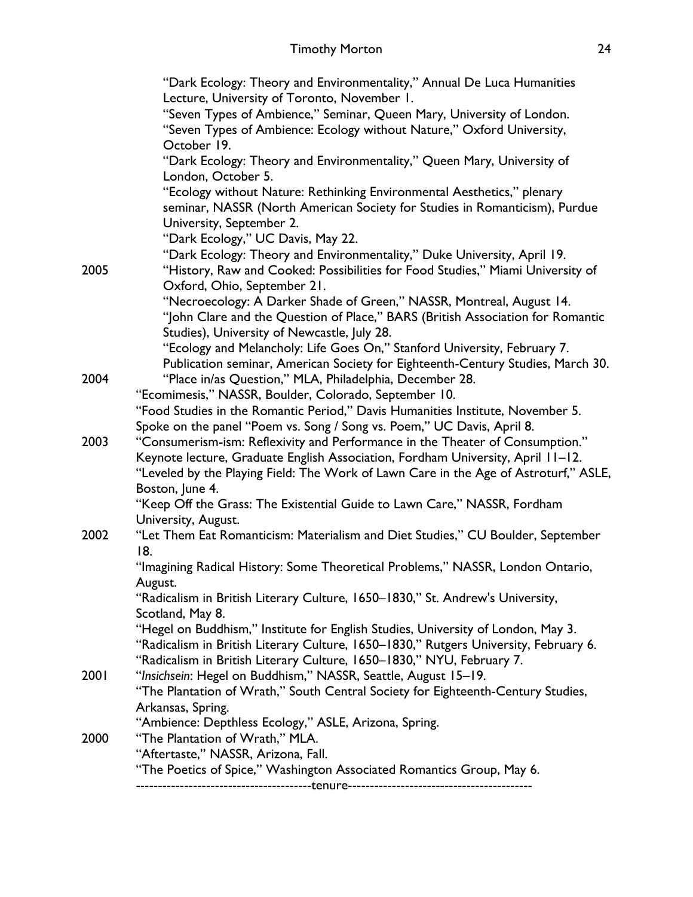| "Dark Ecology: Theory and Environmentality," Annual De Luca Humanities                                                                                                   |
|--------------------------------------------------------------------------------------------------------------------------------------------------------------------------|
| Lecture, University of Toronto, November 1.                                                                                                                              |
| "Seven Types of Ambience," Seminar, Queen Mary, University of London.                                                                                                    |
| "Seven Types of Ambience: Ecology without Nature," Oxford University,                                                                                                    |
| October 19.                                                                                                                                                              |
| "Dark Ecology: Theory and Environmentality," Queen Mary, University of                                                                                                   |
| London, October 5.                                                                                                                                                       |
| "Ecology without Nature: Rethinking Environmental Aesthetics," plenary                                                                                                   |
| seminar, NASSR (North American Society for Studies in Romanticism), Purdue                                                                                               |
| University, September 2.                                                                                                                                                 |
| "Dark Ecology," UC Davis, May 22.                                                                                                                                        |
| "Dark Ecology: Theory and Environmentality," Duke University, April 19.                                                                                                  |
| "History, Raw and Cooked: Possibilities for Food Studies," Miami University of                                                                                           |
| Oxford, Ohio, September 21.<br>"Necroecology: A Darker Shade of Green," NASSR, Montreal, August 14.                                                                      |
| "John Clare and the Question of Place," BARS (British Association for Romantic                                                                                           |
| Studies), University of Newcastle, July 28.                                                                                                                              |
| "Ecology and Melancholy: Life Goes On," Stanford University, February 7.                                                                                                 |
| Publication seminar, American Society for Eighteenth-Century Studies, March 30.                                                                                          |
| "Place in/as Question," MLA, Philadelphia, December 28.                                                                                                                  |
| "Ecomimesis," NASSR, Boulder, Colorado, September 10.                                                                                                                    |
| "Food Studies in the Romantic Period," Davis Humanities Institute, November 5.                                                                                           |
| Spoke on the panel "Poem vs. Song / Song vs. Poem," UC Davis, April 8.                                                                                                   |
| "Consumerism-ism: Reflexivity and Performance in the Theater of Consumption."                                                                                            |
| Keynote lecture, Graduate English Association, Fordham University, April 11-12.                                                                                          |
| "Leveled by the Playing Field: The Work of Lawn Care in the Age of Astroturf," ASLE,                                                                                     |
| Boston, June 4.                                                                                                                                                          |
| "Keep Off the Grass: The Existential Guide to Lawn Care," NASSR, Fordham                                                                                                 |
| University, August.                                                                                                                                                      |
| "Let Them Eat Romanticism: Materialism and Diet Studies," CU Boulder, September                                                                                          |
| 18.                                                                                                                                                                      |
| "Imagining Radical History: Some Theoretical Problems," NASSR, London Ontario,                                                                                           |
| August.                                                                                                                                                                  |
| "Radicalism in British Literary Culture, 1650–1830," St. Andrew's University,                                                                                            |
| Scotland, May 8.                                                                                                                                                         |
| "Hegel on Buddhism," Institute for English Studies, University of London, May 3.<br>"Radicalism in British Literary Culture, 1650–1830," Rutgers University, February 6. |
| "Radicalism in British Literary Culture, 1650-1830," NYU, February 7.                                                                                                    |
| "Insichsein: Hegel on Buddhism," NASSR, Seattle, August 15-19.                                                                                                           |
| "The Plantation of Wrath," South Central Society for Eighteenth-Century Studies,                                                                                         |
| Arkansas, Spring.                                                                                                                                                        |
| "Ambience: Depthless Ecology," ASLE, Arizona, Spring.                                                                                                                    |
| "The Plantation of Wrath," MLA.                                                                                                                                          |
| "Aftertaste," NASSR, Arizona, Fall.                                                                                                                                      |
| "The Poetics of Spice," Washington Associated Romantics Group, May 6.                                                                                                    |
|                                                                                                                                                                          |
|                                                                                                                                                                          |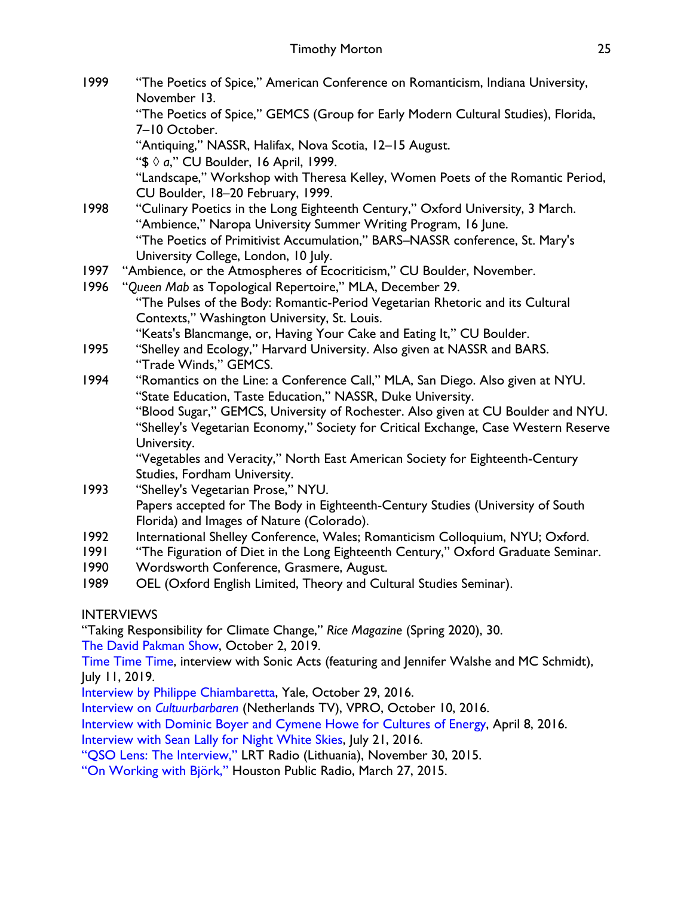- 1999 "The Poetics of Spice," American Conference on Romanticism, Indiana University, November 13. "The Poetics of Spice," GEMCS (Group for Early Modern Cultural Studies), Florida, 7–10 October. "Antiquing," NASSR, Halifax, Nova Scotia, 12–15 August. "\$ à *a*," CU Boulder, 16 April, 1999. "Landscape," Workshop with Theresa Kelley, Women Poets of the Romantic Period, CU Boulder, 18–20 February, 1999. 1998 "Culinary Poetics in the Long Eighteenth Century," Oxford University, 3 March. "Ambience," Naropa University Summer Writing Program, 16 June. "The Poetics of Primitivist Accumulation," BARS–NASSR conference, St. Mary's University College, London, 10 July. 1997 "Ambience, or the Atmospheres of Ecocriticism," CU Boulder, November. 1996 "*Queen Mab* as Topological Repertoire," MLA, December 29. "The Pulses of the Body: Romantic-Period Vegetarian Rhetoric and its Cultural Contexts," Washington University, St. Louis. "Keats's Blancmange, or, Having Your Cake and Eating It," CU Boulder. 1995 "Shelley and Ecology," Harvard University. Also given at NASSR and BARS. "Trade Winds," GEMCS. 1994 "Romantics on the Line: a Conference Call," MLA, San Diego. Also given at NYU. "State Education, Taste Education," NASSR, Duke University. "Blood Sugar," GEMCS, University of Rochester. Also given at CU Boulder and NYU. "Shelley's Vegetarian Economy," Society for Critical Exchange, Case Western Reserve University. "Vegetables and Veracity," North East American Society for Eighteenth-Century Studies, Fordham University. 1993 "Shelley's Vegetarian Prose," NYU. Papers accepted for The Body in Eighteenth-Century Studies (University of South Florida) and Images of Nature (Colorado). 1992 International Shelley Conference, Wales; Romanticism Colloquium, NYU; Oxford. 1991 "The Figuration of Diet in the Long Eighteenth Century," Oxford Graduate Seminar. 1990 Wordsworth Conference, Grasmere, August.
- 1989 OEL (Oxford English Limited, Theory and Cultural Studies Seminar).

## INTERVIEWS

"Taking Responsibility for Climate Change," *Rice Magazine* (Spring 2020), 30.

The David Pakman Show, October 2, 2019.

Time Time Time, interview with Sonic Acts (featuring and Jennifer Walshe and MC Schmidt), July 11, 2019.

Interview by Philippe Chiambaretta, Yale, October 29, 2016.

Interview on *Cultuurbarbaren* (Netherlands TV), VPRO, October 10, 2016.

Interview with Dominic Boyer and Cymene Howe for Cultures of Energy, April 8, 2016.

Interview with Sean Lally for Night White Skies, July 21, 2016.

"QSO Lens: The Interview," LRT Radio (Lithuania), November 30, 2015.

"On Working with Björk," Houston Public Radio, March 27, 2015.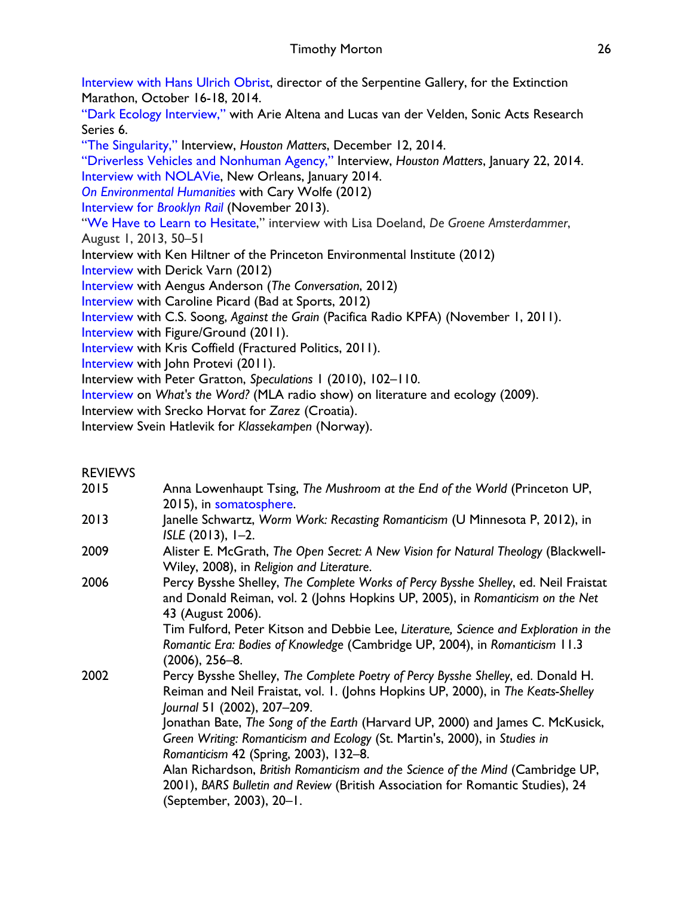Interview with Hans Ulrich Obrist, director of the Serpentine Gallery, for the Extinction Marathon, October 16-18, 2014.

"Dark Ecology Interview," with Arie Altena and Lucas van der Velden, Sonic Acts Research Series 6.

"The Singularity," Interview, *Houston Matters*, December 12, 2014.

"Driverless Vehicles and Nonhuman Agency," Interview, *Houston Matters*, January 22, 2014. Interview with NOLAVie, New Orleans, January 2014.

*On Environmental Humanities* with Cary Wolfe (2012)

Interview for *Brooklyn Rail* (November 2013).

"We Have to Learn to Hesitate," interview with Lisa Doeland, *De Groene Amsterdammer*, August 1, 2013, 50–51

Interview with Ken Hiltner of the Princeton Environmental Institute (2012)

Interview with Derick Varn (2012)

Interview with Aengus Anderson (*The Conversation*, 2012)

Interview with Caroline Picard (Bad at Sports, 2012)

Interview with C.S. Soong, *Against the Grain* (Pacifica Radio KPFA) (November 1, 2011).

Interview with Figure/Ground (2011).

Interview with Kris Coffield (Fractured Politics, 2011).

Interview with John Protevi (2011).

Interview with Peter Gratton, *Speculations* 1 (2010), 102–110.

Interview on *What's the Word?* (MLA radio show) on literature and ecology (2009).

Interview with Srecko Horvat for *Zarez* (Croatia).

Interview Svein Hatlevik for *Klassekampen* (Norway).

## **REVIEWS**

- 2015 Anna Lowenhaupt Tsing, *The Mushroom at the End of the World* (Princeton UP, 2015), in somatosphere.
- 2013 Janelle Schwartz, *Worm Work: Recasting Romanticism* (U Minnesota P, 2012), in *ISLE* (2013), 1–2.
- 2009 Alister E. McGrath, *The Open Secret: A New Vision for Natural Theology* (Blackwell-Wiley, 2008), in *Religion and Literature*.
- 2006 Percy Bysshe Shelley, *The Complete Works of Percy Bysshe Shelley*, ed. Neil Fraistat and Donald Reiman, vol. 2 (Johns Hopkins UP, 2005), in *Romanticism on the Net* 43 (August 2006).

Tim Fulford, Peter Kitson and Debbie Lee, *Literature, Science and Exploration in the Romantic Era: Bodies of Knowledge* (Cambridge UP, 2004), in *Romanticism* 11.3 (2006), 256–8.

2002 Percy Bysshe Shelley, *The Complete Poetry of Percy Bysshe Shelley*, ed. Donald H. Reiman and Neil Fraistat, vol. 1. (Johns Hopkins UP, 2000), in *The Keats-Shelley Journal* 51 (2002), 207–209.

Jonathan Bate, *The Song of the Earth* (Harvard UP, 2000) and James C. McKusick, *Green Writing: Romanticism and Ecology* (St. Martin's, 2000), in *Studies in Romanticism* 42 (Spring, 2003), 132–8.

Alan Richardson, *British Romanticism and the Science of the Mind* (Cambridge UP, 2001), *BARS Bulletin and Review* (British Association for Romantic Studies), 24 (September, 2003), 20–1.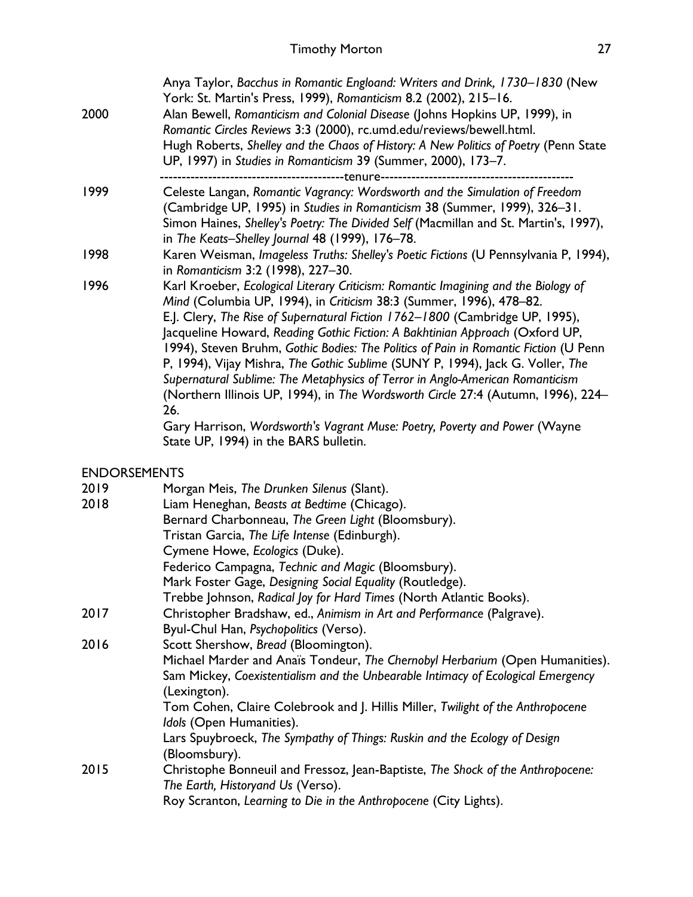| 2000                | Anya Taylor, Bacchus in Romantic Engloand: Writers and Drink, 1730–1830 (New<br>York: St. Martin's Press, 1999), Romanticism 8.2 (2002), 215-16.<br>Alan Bewell, Romanticism and Colonial Disease (Johns Hopkins UP, 1999), in<br>Romantic Circles Reviews 3:3 (2000), rc.umd.edu/reviews/bewell.html.<br>Hugh Roberts, Shelley and the Chaos of History: A New Politics of Poetry (Penn State<br>UP, 1997) in Studies in Romanticism 39 (Summer, 2000), 173-7.<br>-----tenure-                                                                                                                                                                                                                                                                                                                        |
|---------------------|--------------------------------------------------------------------------------------------------------------------------------------------------------------------------------------------------------------------------------------------------------------------------------------------------------------------------------------------------------------------------------------------------------------------------------------------------------------------------------------------------------------------------------------------------------------------------------------------------------------------------------------------------------------------------------------------------------------------------------------------------------------------------------------------------------|
| 1999                | Celeste Langan, Romantic Vagrancy: Wordsworth and the Simulation of Freedom<br>(Cambridge UP, 1995) in Studies in Romanticism 38 (Summer, 1999), 326-31.<br>Simon Haines, Shelley's Poetry: The Divided Self (Macmillan and St. Martin's, 1997),<br>in The Keats-Shelley Journal 48 (1999), 176-78.                                                                                                                                                                                                                                                                                                                                                                                                                                                                                                    |
| 1998                | Karen Weisman, Imageless Truths: Shelley's Poetic Fictions (U Pennsylvania P, 1994),<br>in Romanticism 3:2 (1998), 227-30.                                                                                                                                                                                                                                                                                                                                                                                                                                                                                                                                                                                                                                                                             |
| 1996                | Karl Kroeber, Ecological Literary Criticism: Romantic Imagining and the Biology of<br>Mind (Columbia UP, 1994), in Criticism 38:3 (Summer, 1996), 478-82.<br>E.J. Clery, The Rise of Supernatural Fiction 1762-1800 (Cambridge UP, 1995),<br>Jacqueline Howard, Reading Gothic Fiction: A Bakhtinian Approach (Oxford UP,<br>1994), Steven Bruhm, Gothic Bodies: The Politics of Pain in Romantic Fiction (U Penn<br>P, 1994), Vijay Mishra, The Gothic Sublime (SUNY P, 1994), Jack G. Voller, The<br>Supernatural Sublime: The Metaphysics of Terror in Anglo-American Romanticism<br>(Northern Illinois UP, 1994), in The Wordsworth Circle 27:4 (Autumn, 1996), 224-<br>26.<br>Gary Harrison, Wordsworth's Vagrant Muse: Poetry, Poverty and Power (Wayne<br>State UP, 1994) in the BARS bulletin. |
| <b>ENDORSEMENTS</b> |                                                                                                                                                                                                                                                                                                                                                                                                                                                                                                                                                                                                                                                                                                                                                                                                        |
| 2019                | Morgan Meis, The Drunken Silenus (Slant).                                                                                                                                                                                                                                                                                                                                                                                                                                                                                                                                                                                                                                                                                                                                                              |
| 2018                | Liam Heneghan, Beasts at Bedtime (Chicago).                                                                                                                                                                                                                                                                                                                                                                                                                                                                                                                                                                                                                                                                                                                                                            |
|                     | Bernard Charbonneau, The Green Light (Bloomsbury).                                                                                                                                                                                                                                                                                                                                                                                                                                                                                                                                                                                                                                                                                                                                                     |
|                     | Tristan Garcia, The Life Intense (Edinburgh).                                                                                                                                                                                                                                                                                                                                                                                                                                                                                                                                                                                                                                                                                                                                                          |
|                     | Cymene Howe, Ecologics (Duke).                                                                                                                                                                                                                                                                                                                                                                                                                                                                                                                                                                                                                                                                                                                                                                         |
|                     | Federico Campagna, Technic and Magic (Bloomsbury).                                                                                                                                                                                                                                                                                                                                                                                                                                                                                                                                                                                                                                                                                                                                                     |
|                     | Mark Foster Gage, Designing Social Equality (Routledge).                                                                                                                                                                                                                                                                                                                                                                                                                                                                                                                                                                                                                                                                                                                                               |
| 2017                | Trebbe Johnson, Radical Joy for Hard Times (North Atlantic Books).<br>Christopher Bradshaw, ed., Animism in Art and Performance (Palgrave).                                                                                                                                                                                                                                                                                                                                                                                                                                                                                                                                                                                                                                                            |
| 2016                | Byul-Chul Han, Psychopolitics (Verso).<br>Scott Shershow, Bread (Bloomington).                                                                                                                                                                                                                                                                                                                                                                                                                                                                                                                                                                                                                                                                                                                         |
|                     | Michael Marder and Anaïs Tondeur, The Chernobyl Herbarium (Open Humanities).<br>Sam Mickey, Coexistentialism and the Unbearable Intimacy of Ecological Emergency<br>(Lexington).<br>Tom Cohen, Claire Colebrook and J. Hillis Miller, Twilight of the Anthropocene<br>Idols (Open Humanities).<br>Lars Spuybroeck, The Sympathy of Things: Ruskin and the Ecology of Design                                                                                                                                                                                                                                                                                                                                                                                                                            |
|                     | (Bloomsbury).                                                                                                                                                                                                                                                                                                                                                                                                                                                                                                                                                                                                                                                                                                                                                                                          |
| 2015                | Christophe Bonneuil and Fressoz, Jean-Baptiste, The Shock of the Anthropocene:<br>The Earth, Historyand Us (Verso).                                                                                                                                                                                                                                                                                                                                                                                                                                                                                                                                                                                                                                                                                    |
|                     | Roy Scranton, Learning to Die in the Anthropocene (City Lights).                                                                                                                                                                                                                                                                                                                                                                                                                                                                                                                                                                                                                                                                                                                                       |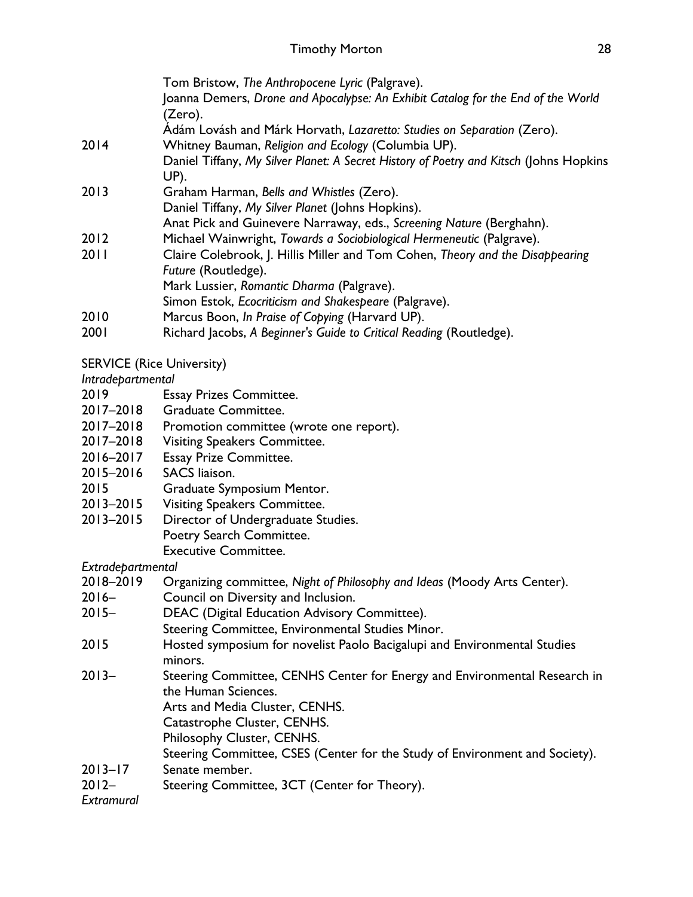|                   | Tom Bristow, The Anthropocene Lyric (Palgrave).                                                |
|-------------------|------------------------------------------------------------------------------------------------|
|                   | Joanna Demers, Drone and Apocalypse: An Exhibit Catalog for the End of the World               |
|                   | (Zero).                                                                                        |
|                   | Adám Lovásh and Márk Horvath, Lazaretto: Studies on Separation (Zero).                         |
| 2014              | Whitney Bauman, Religion and Ecology (Columbia UP).                                            |
|                   | Daniel Tiffany, My Silver Planet: A Secret History of Poetry and Kitsch (Johns Hopkins<br>UP). |
| 2013              | Graham Harman, Bells and Whistles (Zero).                                                      |
|                   | Daniel Tiffany, My Silver Planet (Johns Hopkins).                                              |
|                   | Anat Pick and Guinevere Narraway, eds., Screening Nature (Berghahn).                           |
| 2012              | Michael Wainwright, Towards a Sociobiological Hermeneutic (Palgrave).                          |
| 2011              | Claire Colebrook, J. Hillis Miller and Tom Cohen, Theory and the Disappearing                  |
|                   | Future (Routledge).                                                                            |
|                   | Mark Lussier, Romantic Dharma (Palgrave).                                                      |
|                   | Simon Estok, Ecocriticism and Shakespeare (Palgrave).                                          |
| 2010              | Marcus Boon, In Praise of Copying (Harvard UP).                                                |
| 2001              | Richard Jacobs, A Beginner's Guide to Critical Reading (Routledge).                            |
|                   | <b>SERVICE (Rice University)</b>                                                               |
| Intradepartmental |                                                                                                |
| 2019              | <b>Essay Prizes Committee.</b>                                                                 |
|                   | 2017-2018 Graduate Committee.                                                                  |
| 2017-2018         | Promotion committee (wrote one report).                                                        |

- 2017–2018 Visiting Speakers Committee.
- 2016–2017 Essay Prize Committee.
- 2015–2016 SACS liaison.
- 2015 Graduate Symposium Mentor.
- 2013–2015 Visiting Speakers Committee.
- 2013–2015 Director of Undergraduate Studies. Poetry Search Committee. Executive Committee.

*Extradepartmental*

- 2018–2019 Organizing committee, *Night of Philosophy and Ideas* (Moody Arts Center).
- 2016– Council on Diversity and Inclusion.
- 2015– DEAC (Digital Education Advisory Committee).

Steering Committee, Environmental Studies Minor.

- 2015 Hosted symposium for novelist Paolo Bacigalupi and Environmental Studies minors.
- 2013– Steering Committee, CENHS Center for Energy and Environmental Research in the Human Sciences.

Arts and Media Cluster, CENHS.

Catastrophe Cluster, CENHS.

Philosophy Cluster, CENHS.

Steering Committee, CSES (Center for the Study of Environment and Society).

- 2013–17 Senate member.
- 2012– Steering Committee, 3CT (Center for Theory).

*Extramural*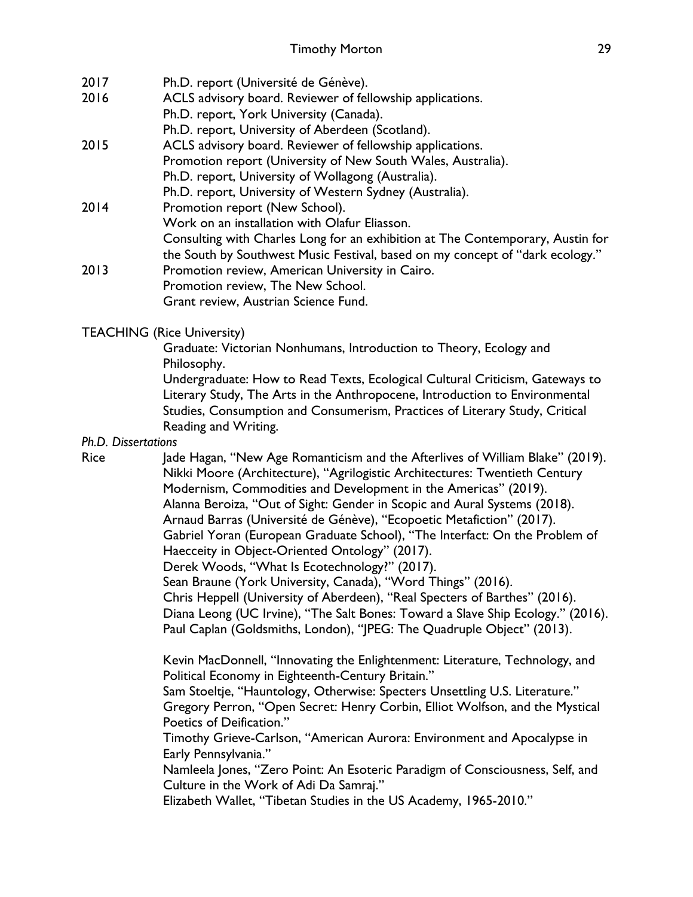| 2017 | Ph.D. report (Université de Génève).                                           |
|------|--------------------------------------------------------------------------------|
| 2016 | ACLS advisory board. Reviewer of fellowship applications.                      |
|      | Ph.D. report, York University (Canada).                                        |
|      | Ph.D. report, University of Aberdeen (Scotland).                               |
| 2015 | ACLS advisory board. Reviewer of fellowship applications.                      |
|      | Promotion report (University of New South Wales, Australia).                   |
|      | Ph.D. report, University of Wollagong (Australia).                             |
|      | Ph.D. report, University of Western Sydney (Australia).                        |
| 2014 | Promotion report (New School).                                                 |
|      | Work on an installation with Olafur Eliasson.                                  |
|      | Consulting with Charles Long for an exhibition at The Contemporary, Austin for |
|      | the South by Southwest Music Festival, based on my concept of "dark ecology."  |
| 2013 | Promotion review, American University in Cairo.                                |
|      | Promotion review, The New School.                                              |
|      | Grant review, Austrian Science Fund.                                           |

## TEACHING (Rice University)

Graduate: Victorian Nonhumans, Introduction to Theory, Ecology and Philosophy.

Undergraduate: How to Read Texts, Ecological Cultural Criticism, Gateways to Literary Study, The Arts in the Anthropocene, Introduction to Environmental Studies, Consumption and Consumerism, Practices of Literary Study, Critical Reading and Writing.

*Ph.D. Dissertations*

Rice Jade Hagan, "New Age Romanticism and the Afterlives of William Blake" (2019). Nikki Moore (Architecture), "Agrilogistic Architectures: Twentieth Century Modernism, Commodities and Development in the Americas" (2019). Alanna Beroiza, "Out of Sight: Gender in Scopic and Aural Systems (2018). Arnaud Barras (Université de Génève), "Ecopoetic Metafiction" (2017). Gabriel Yoran (European Graduate School), "The Interfact: On the Problem of Haecceity in Object-Oriented Ontology" (2017). Derek Woods, "What Is Ecotechnology?" (2017). Sean Braune (York University, Canada), "Word Things" (2016). Chris Heppell (University of Aberdeen), "Real Specters of Barthes" (2016). Diana Leong (UC Irvine), "The Salt Bones: Toward a Slave Ship Ecology." (2016). Paul Caplan (Goldsmiths, London), "JPEG: The Quadruple Object" (2013).

> Kevin MacDonnell, "Innovating the Enlightenment: Literature, Technology, and Political Economy in Eighteenth-Century Britain."

> Sam Stoeltje, "Hauntology, Otherwise: Specters Unsettling U.S. Literature." Gregory Perron, "Open Secret: Henry Corbin, Elliot Wolfson, and the Mystical Poetics of Deification."

Timothy Grieve-Carlson, "American Aurora: Environment and Apocalypse in Early Pennsylvania."

Namleela Jones, "Zero Point: An Esoteric Paradigm of Consciousness, Self, and Culture in the Work of Adi Da Samraj."

Elizabeth Wallet, "Tibetan Studies in the US Academy, 1965-2010."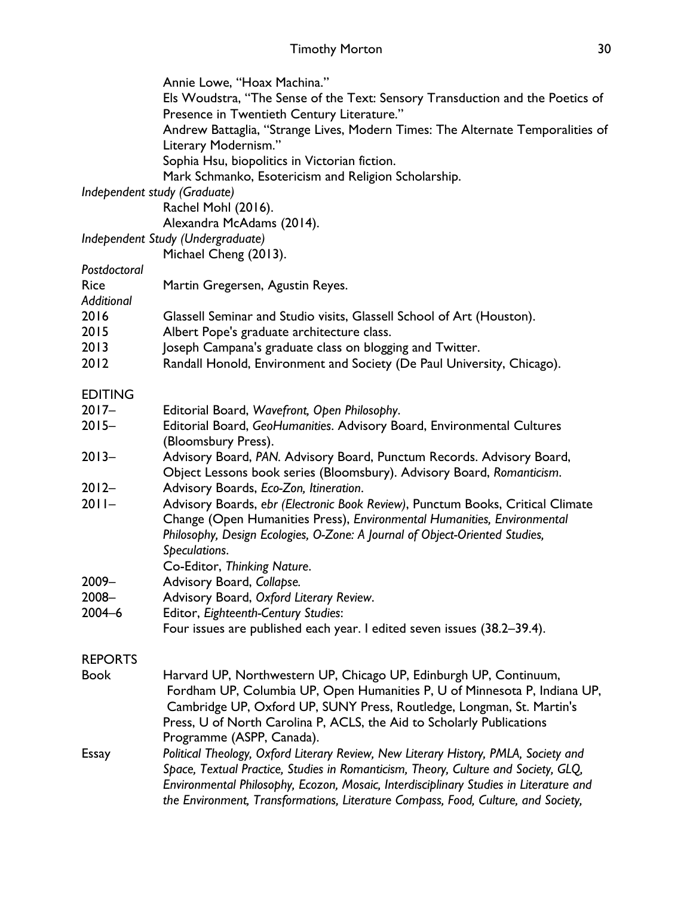|                | Annie Lowe, "Hoax Machina."                                                                                                                    |
|----------------|------------------------------------------------------------------------------------------------------------------------------------------------|
|                | Els Woudstra, "The Sense of the Text: Sensory Transduction and the Poetics of                                                                  |
|                | Presence in Twentieth Century Literature."                                                                                                     |
|                | Andrew Battaglia, "Strange Lives, Modern Times: The Alternate Temporalities of                                                                 |
|                | Literary Modernism."                                                                                                                           |
|                | Sophia Hsu, biopolitics in Victorian fiction.                                                                                                  |
|                | Mark Schmanko, Esotericism and Religion Scholarship.                                                                                           |
|                | Independent study (Graduate)                                                                                                                   |
|                | Rachel Mohl (2016).                                                                                                                            |
|                | Alexandra McAdams (2014).                                                                                                                      |
|                | Independent Study (Undergraduate)                                                                                                              |
|                | Michael Cheng (2013).                                                                                                                          |
| Postdoctoral   |                                                                                                                                                |
| <b>Rice</b>    | Martin Gregersen, Agustin Reyes.                                                                                                               |
| Additional     |                                                                                                                                                |
| 2016           | Glassell Seminar and Studio visits, Glassell School of Art (Houston).                                                                          |
| 2015           | Albert Pope's graduate architecture class.                                                                                                     |
| 2013           | Joseph Campana's graduate class on blogging and Twitter.                                                                                       |
| 2012           | Randall Honold, Environment and Society (De Paul University, Chicago).                                                                         |
|                |                                                                                                                                                |
| <b>EDITING</b> |                                                                                                                                                |
| $2017 -$       | Editorial Board, Wavefront, Open Philosophy.                                                                                                   |
| $2015 -$       | Editorial Board, GeoHumanities. Advisory Board, Environmental Cultures                                                                         |
|                | (Bloomsbury Press).                                                                                                                            |
| $2013 -$       | Advisory Board, PAN. Advisory Board, Punctum Records. Advisory Board,<br>Object Lessons book series (Bloomsbury). Advisory Board, Romanticism. |
| $2012 -$       | Advisory Boards, Eco-Zon, Itineration.                                                                                                         |
| $2011 -$       | Advisory Boards, ebr (Electronic Book Review), Punctum Books, Critical Climate                                                                 |
|                | Change (Open Humanities Press), Environmental Humanities, Environmental                                                                        |
|                | Philosophy, Design Ecologies, O-Zone: A Journal of Object-Oriented Studies,                                                                    |
|                | Speculations.                                                                                                                                  |
|                | Co-Editor, Thinking Nature.                                                                                                                    |
| 2009-          | Advisory Board, Collapse.                                                                                                                      |
| 2008-          | Advisory Board, Oxford Literary Review.                                                                                                        |
| $2004 - 6$     | Editor, Eighteenth-Century Studies:                                                                                                            |
|                | Four issues are published each year. I edited seven issues (38.2-39.4).                                                                        |
|                |                                                                                                                                                |
| <b>REPORTS</b> |                                                                                                                                                |
| <b>Book</b>    | Harvard UP, Northwestern UP, Chicago UP, Edinburgh UP, Continuum,                                                                              |
|                | Fordham UP, Columbia UP, Open Humanities P, U of Minnesota P, Indiana UP,                                                                      |
|                | Cambridge UP, Oxford UP, SUNY Press, Routledge, Longman, St. Martin's                                                                          |
|                | Press, U of North Carolina P, ACLS, the Aid to Scholarly Publications                                                                          |
|                | Programme (ASPP, Canada).                                                                                                                      |
| Essay          | Political Theology, Oxford Literary Review, New Literary History, PMLA, Society and                                                            |
|                | Space, Textual Practice, Studies in Romanticism, Theory, Culture and Society, GLQ,                                                             |
|                | Environmental Philosophy, Ecozon, Mosaic, Interdisciplinary Studies in Literature and                                                          |
|                | the Environment, Transformations, Literature Compass, Food, Culture, and Society,                                                              |